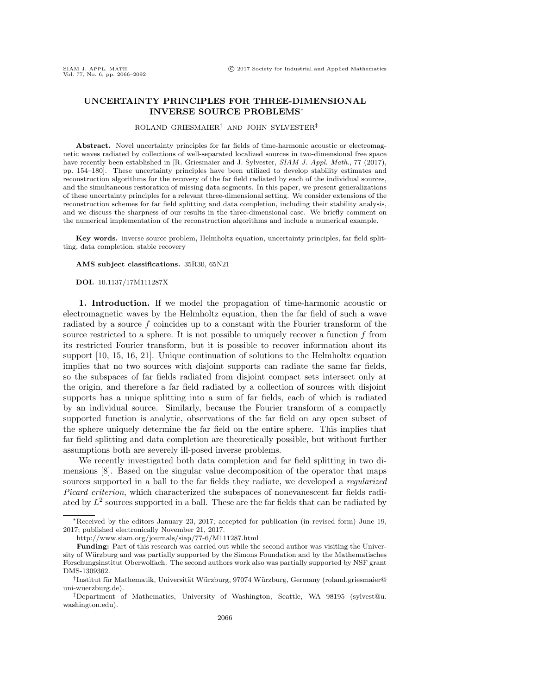# UNCERTAINTY PRINCIPLES FOR THREE-DIMENSIONAL INVERSE SOURCE PROBLEMS<sup>∗</sup>

### ROLAND GRIESMAIER† AND JOHN SYLVESTER‡

Abstract. Novel uncertainty principles for far fields of time-harmonic acoustic or electromagnetic waves radiated by collections of well-separated localized sources in two-dimensional free space have recently been established in [R. Griesmaier and J. Sylvester, SIAM J. Appl. Math., 77 (2017), pp. 154–180]. These uncertainty principles have been utilized to develop stability estimates and reconstruction algorithms for the recovery of the far field radiated by each of the individual sources, and the simultaneous restoration of missing data segments. In this paper, we present generalizations of these uncertainty principles for a relevant three-dimensional setting. We consider extensions of the reconstruction schemes for far field splitting and data completion, including their stability analysis, and we discuss the sharpness of our results in the three-dimensional case. We briefly comment on the numerical implementation of the reconstruction algorithms and include a numerical example.

Key words. inverse source problem, Helmholtz equation, uncertainty principles, far field splitting, data completion, stable recovery

## AMS subject classifications. 35R30, 65N21

#### DOI. 10.1137/17M111287X

1. Introduction. If we model the propagation of time-harmonic acoustic or electromagnetic waves by the Helmholtz equation, then the far field of such a wave radiated by a source  $f$  coincides up to a constant with the Fourier transform of the source restricted to a sphere. It is not possible to uniquely recover a function  $f$  from its restricted Fourier transform, but it is possible to recover information about its support [\[10,](#page-25-0) [15,](#page-26-0) [16,](#page-26-1) [21\]](#page-26-2). Unique continuation of solutions to the Helmholtz equation implies that no two sources with disjoint supports can radiate the same far fields, so the subspaces of far fields radiated from disjoint compact sets intersect only at the origin, and therefore a far field radiated by a collection of sources with disjoint supports has a unique splitting into a sum of far fields, each of which is radiated by an individual source. Similarly, because the Fourier transform of a compactly supported function is analytic, observations of the far field on any open subset of the sphere uniquely determine the far field on the entire sphere. This implies that far field splitting and data completion are theoretically possible, but without further assumptions both are severely ill-posed inverse problems.

We recently investigated both data completion and far field splitting in two dimensions [\[8\]](#page-25-1). Based on the singular value decomposition of the operator that maps sources supported in a ball to the far fields they radiate, we developed a *regularized* Picard criterion, which characterized the subspaces of nonevanescent far fields radiated by  $L^2$  sources supported in a ball. These are the far fields that can be radiated by

<sup>∗</sup>Received by the editors January 23, 2017; accepted for publication (in revised form) June 19, 2017; published electronically November 21, 2017.

<http://www.siam.org/journals/siap/77-6/M111287.html>

Funding: Part of this research was carried out while the second author was visiting the University of Würzburg and was partially supported by the Simons Foundation and by the Mathematisches Forschungsinstitut Oberwolfach. The second authors work also was partially supported by NSF grant DMS-1309362.

<sup>&</sup>lt;sup>†</sup>Institut für Mathematik, Universität Würzburg, 97074 Würzburg, Germany [\(roland.griesmaier@](mailto:roland.griesmaier@uni-wuerzburg.de) [uni-wuerzburg.de\)](mailto:roland.griesmaier@uni-wuerzburg.de).

<sup>‡</sup>Department of Mathematics, University of Washington, Seattle, WA 98195 [\(sylvest@u.](mailto:sylvest@u.washington.edu) [washington.edu\)](mailto:sylvest@u.washington.edu).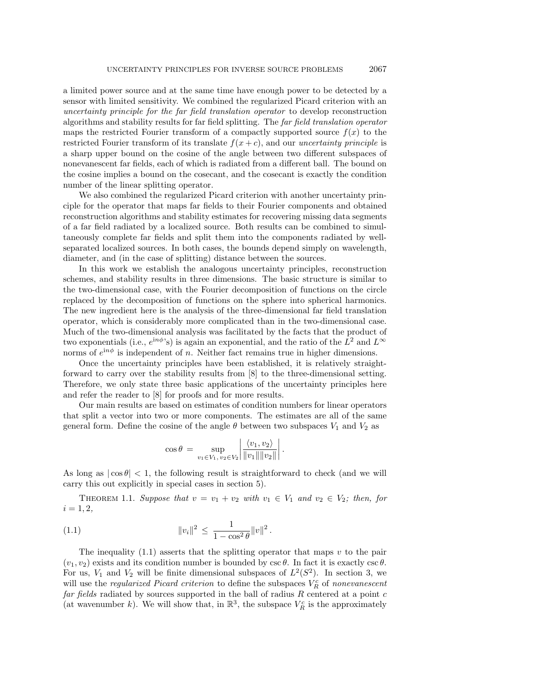a limited power source and at the same time have enough power to be detected by a sensor with limited sensitivity. We combined the regularized Picard criterion with an uncertainty principle for the far field translation operator to develop reconstruction algorithms and stability results for far field splitting. The far field translation operator maps the restricted Fourier transform of a compactly supported source  $f(x)$  to the restricted Fourier transform of its translate  $f(x + c)$ , and our uncertainty principle is a sharp upper bound on the cosine of the angle between two different subspaces of nonevanescent far fields, each of which is radiated from a different ball. The bound on the cosine implies a bound on the cosecant, and the cosecant is exactly the condition number of the linear splitting operator.

We also combined the regularized Picard criterion with another uncertainty principle for the operator that maps far fields to their Fourier components and obtained reconstruction algorithms and stability estimates for recovering missing data segments of a far field radiated by a localized source. Both results can be combined to simultaneously complete far fields and split them into the components radiated by wellseparated localized sources. In both cases, the bounds depend simply on wavelength, diameter, and (in the case of splitting) distance between the sources.

In this work we establish the analogous uncertainty principles, reconstruction schemes, and stability results in three dimensions. The basic structure is similar to the two-dimensional case, with the Fourier decomposition of functions on the circle replaced by the decomposition of functions on the sphere into spherical harmonics. The new ingredient here is the analysis of the three-dimensional far field translation operator, which is considerably more complicated than in the two-dimensional case. Much of the two-dimensional analysis was facilitated by the facts that the product of two exponentials (i.e.,  $e^{in\phi}$ 's) is again an exponential, and the ratio of the  $L^2$  and  $L^{\infty}$ norms of  $e^{in\phi}$  is independent of n. Neither fact remains true in higher dimensions.

Once the uncertainty principles have been established, it is relatively straightforward to carry over the stability results from [\[8\]](#page-25-1) to the three-dimensional setting. Therefore, we only state three basic applications of the uncertainty principles here and refer the reader to [\[8\]](#page-25-1) for proofs and for more results.

Our main results are based on estimates of condition numbers for linear operators that split a vector into two or more components. The estimates are all of the same general form. Define the cosine of the angle  $\theta$  between two subspaces  $V_1$  and  $V_2$  as

<span id="page-1-0"></span>
$$
\cos \theta = \sup_{v_1 \in V_1, v_2 \in V_2} \left| \frac{\langle v_1, v_2 \rangle}{\|v_1\| \|v_2\|} \right|
$$

.

As long as  $|\cos \theta|$  < 1, the following result is straightforward to check (and we will carry this out explicitly in special cases in section [5\)](#page-13-0).

THEOREM 1.1. Suppose that  $v = v_1 + v_2$  with  $v_1 \in V_1$  and  $v_2 \in V_2$ ; then, for  $i = 1, 2,$ 

(1.1) 
$$
||v_i||^2 \leq \frac{1}{1 - \cos^2 \theta} ||v||^2.
$$

The inequality  $(1.1)$  asserts that the splitting operator that maps v to the pair  $(v_1, v_2)$  exists and its condition number is bounded by csc  $\theta$ . In fact it is exactly csc  $\theta$ . For us,  $V_1$  and  $V_2$  will be finite dimensional subspaces of  $L^2(S^2)$ . In section [3,](#page-5-0) we will use the *regularized Picard criterion* to define the subspaces  $V_R^c$  of *nonevanescent* far fields radiated by sources supported in the ball of radius  $R$  centered at a point  $c$ (at wavenumber k). We will show that, in  $\mathbb{R}^3$ , the subspace  $V_R^c$  is the approximately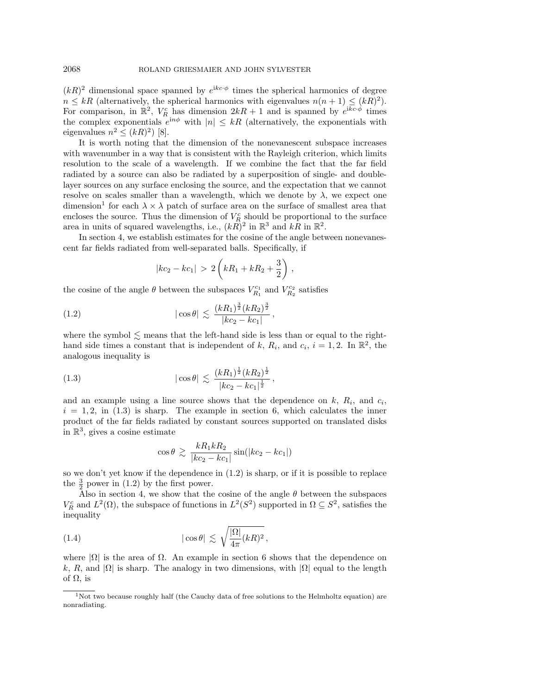$(kR)^2$  dimensional space spanned by  $e^{ikc\phi}$  times the spherical harmonics of degree  $n \leq kR$  (alternatively, the spherical harmonics with eigenvalues  $n(n+1) \leq (kR)^2$ ). For comparison, in  $\mathbb{R}^2$ ,  $V_R^c$  has dimension  $2kR + 1$  and is spanned by  $e^{ikc \cdot \phi}$  times the complex exponentials  $e^{in\phi}$  with  $|n| \leq kR$  (alternatively, the exponentials with eigenvalues  $n^2 \leq (kR)^2$  [\[8\]](#page-25-1).

It is worth noting that the dimension of the nonevanescent subspace increases with wavenumber in a way that is consistent with the Rayleigh criterion, which limits resolution to the scale of a wavelength. If we combine the fact that the far field radiated by a source can also be radiated by a superposition of single- and doublelayer sources on any surface enclosing the source, and the expectation that we cannot resolve on scales smaller than a wavelength, which we denote by  $\lambda$ , we expect one dimension<sup>[1](#page-2-0)</sup> for each  $\lambda \times \lambda$  patch of surface area on the surface of smallest area that encloses the source. Thus the dimension of  $V_R^c$  should be proportional to the surface area in units of squared wavelengths, i.e.,  $(kR)^2$  in  $\mathbb{R}^3$  and  $kR$  in  $\mathbb{R}^2$ .

In section [4,](#page-8-0) we establish estimates for the cosine of the angle between nonevanescent far fields radiated from well-separated balls. Specifically, if

<span id="page-2-2"></span>
$$
|kc_2 - kc_1| > 2\left(kR_1 + kR_2 + \frac{3}{2}\right),
$$

the cosine of the angle  $\theta$  between the subspaces  $V_{R_1}^{c_1}$  and  $V_{R_2}^{c_2}$  satisfies

(1.2) 
$$
|\cos \theta| \lesssim \frac{(kR_1)^{\frac{3}{2}}(kR_2)^{\frac{3}{2}}}{|kc_2 - kc_1|},
$$

where the symbol  $\leq$  means that the left-hand side is less than or equal to the righthand side times a constant that is independent of k,  $R_i$ , and  $c_i$ ,  $i = 1, 2$ . In  $\mathbb{R}^2$ , the analogous inequality is

(1.3) 
$$
|\cos \theta| \lesssim \frac{(kR_1)^{\frac{1}{2}}(kR_2)^{\frac{1}{2}}}{|kc_2 - kc_1|^{\frac{1}{2}}},
$$

and an example using a line source shows that the dependence on  $k$ ,  $R_i$ , and  $c_i$ ,  $i = 1, 2$ , in [\(1.3\)](#page-2-1) is sharp. The example in section [6,](#page-15-0) which calculates the inner product of the far fields radiated by constant sources supported on translated disks in  $\mathbb{R}^3$ , gives a cosine estimate

<span id="page-2-1"></span>
$$
\cos \theta \gtrsim \frac{kR_1kR_2}{|kc_2 - kc_1|} \sin(|kc_2 - kc_1|)
$$

so we don't yet know if the dependence in [\(1.2\)](#page-2-2) is sharp, or if it is possible to replace the  $\frac{3}{2}$  power in [\(1.2\)](#page-2-2) by the first power.

Also in section [4,](#page-8-0) we show that the cosine of the angle  $\theta$  between the subspaces  $V_R^c$  and  $L^2(\Omega)$ , the subspace of functions in  $L^2(S^2)$  supported in  $\Omega \subseteq S^2$ , satisfies the inequality

<span id="page-2-3"></span>(1.4) 
$$
|\cos \theta| \lesssim \sqrt{\frac{|\Omega|}{4\pi} (kR)^2},
$$

where  $|\Omega|$  is the area of  $\Omega$ . An example in section [6](#page-15-0) shows that the dependence on k, R, and  $|\Omega|$  is sharp. The analogy in two dimensions, with  $|\Omega|$  equal to the length of  $\Omega$ , is

<span id="page-2-0"></span> $1$ Not two because roughly half (the Cauchy data of free solutions to the Helmholtz equation) are nonradiating.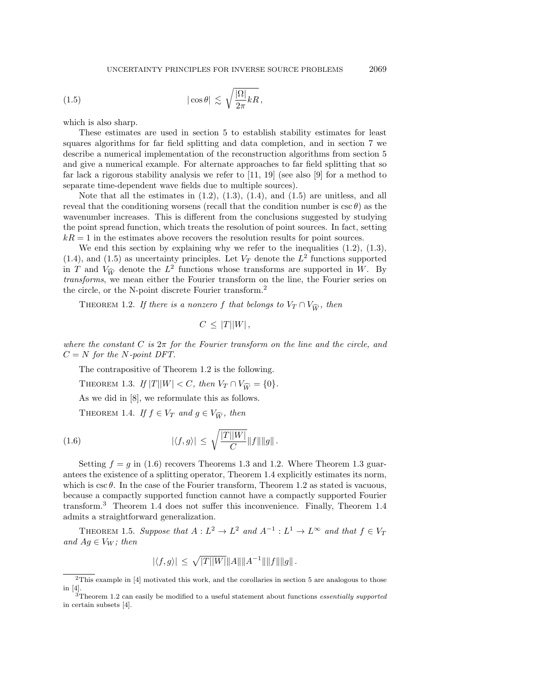<span id="page-3-0"></span>(1.5) 
$$
|\cos \theta| \lesssim \sqrt{\frac{|\Omega|}{2\pi}kR},
$$

which is also sharp.

These estimates are used in section [5](#page-13-0) to establish stability estimates for least squares algorithms for far field splitting and data completion, and in section [7](#page-17-0) we describe a numerical implementation of the reconstruction algorithms from section [5](#page-13-0) and give a numerical example. For alternate approaches to far field splitting that so far lack a rigorous stability analysis we refer to [\[11,](#page-26-3) [19\]](#page-26-4) (see also [\[9\]](#page-25-2) for a method to separate time-dependent wave fields due to multiple sources).

Note that all the estimates in  $(1.2)$ ,  $(1.3)$ ,  $(1.4)$ , and  $(1.5)$  are unitless, and all reveal that the conditioning worsens (recall that the condition number is  $\csc \theta$ ) as the wavenumber increases. This is different from the conclusions suggested by studying the point spread function, which treats the resolution of point sources. In fact, setting  $kR = 1$  in the estimates above recovers the resolution results for point sources.

We end this section by explaining why we refer to the inequalities  $(1.2)$ ,  $(1.3)$ ,  $(1.4)$ , and  $(1.5)$  as uncertainty principles. Let  $V_T$  denote the  $L^2$  functions supported in T and  $V_{\widehat{W}}$  denote the  $L^2$  functions whose transforms are supported in W. By transforms, we mean either the Fourier transform on the line, the Fourier series on the circle, or the N-point discrete Fourier transform.[2](#page-3-1)

<span id="page-3-2"></span>THEOREM 1.2. If there is a nonzero f that belongs to  $V_T \cap V_{\widehat{W}}$ , then

<span id="page-3-5"></span><span id="page-3-4"></span>
$$
C \leq |T||W|,
$$

where the constant C is  $2\pi$  for the Fourier transform on the line and the circle, and  $C = N$  for the N-point DFT.

The contrapositive of Theorem [1.2](#page-3-2) is the following.

THEOREM 1.3. If  $|T||W| < C$ , then  $V_T \cap V_{\widehat{W}} = \{0\}.$ 

As we did in [\[8\]](#page-25-1), we reformulate this as follows.

<span id="page-3-3"></span>THEOREM 1.4. If  $f \in V_T$  and  $g \in V_{\widehat{W}}$ , then

(1.6) 
$$
|\langle f, g \rangle| \leq \sqrt{\frac{|T||W|}{C}} \|f\| \|g\|.
$$

Setting  $f = g$  in [\(1.6\)](#page-3-3) recovers Theorems [1.3](#page-3-4) and [1.2.](#page-3-2) Where Theorem 1.3 guarantees the existence of a splitting operator, Theorem [1.4](#page-3-5) explicitly estimates its norm, which is  $\csc \theta$ . In the case of the Fourier transform, Theorem [1.2](#page-3-2) as stated is vacuous, because a compactly supported function cannot have a compactly supported Fourier transform.[3](#page-3-6) Theorem [1.4](#page-3-5) does not suffer this inconvenience. Finally, Theorem [1.4](#page-3-5) admits a straightforward generalization.

<span id="page-3-7"></span>THEOREM 1.5. Suppose that  $A: L^2 \to L^2$  and  $A^{-1}: L^1 \to L^{\infty}$  and that  $f \in V_T$ and  $Aq \in V_W$ ; then

$$
|\langle f, g \rangle| \leq \sqrt{|T||W|} ||A|| ||A^{-1}|| ||f|| ||g||.
$$

<span id="page-3-1"></span> $\overline{^{2}$ This example in [\[4\]](#page-25-3) motivated this work, and the corollaries in section [5](#page-13-0) are analogous to those in [\[4\]](#page-25-3).

<span id="page-3-6"></span> $3$ Theorem [1.2](#page-3-2) can easily be modified to a useful statement about functions *essentially supported* in certain subsets [\[4\]](#page-25-3).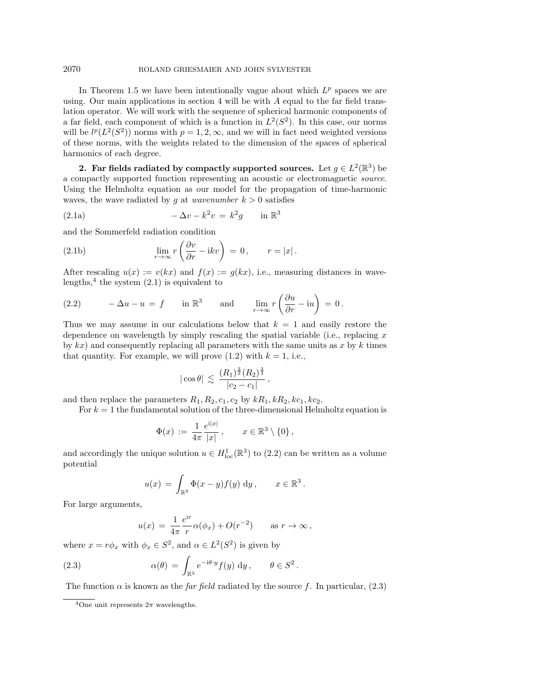# 2070 ROLAND GRIESMAIER AND JOHN SYLVESTER

In Theorem [1.5](#page-3-7) we have been intentionally vague about which  $L^p$  spaces we are using. Our main applications in section [4](#page-8-0) will be with  $A$  equal to the far field translation operator. We will work with the sequence of spherical harmonic components of a far field, each component of which is a function in  $L^2(S^2)$ . In this case, our norms will be  $l^p(L^2(S^2))$  norms with  $p=1,2,\infty$ , and we will in fact need weighted versions of these norms, with the weights related to the dimension of the spaces of spherical harmonics of each degree.

2. Far fields radiated by compactly supported sources. Let  $g \in L^2(\mathbb{R}^3)$  be a compactly supported function representing an acoustic or electromagnetic source. Using the Helmholtz equation as our model for the propagation of time-harmonic waves, the wave radiated by g at wavenumber  $k > 0$  satisfies

(2.1a) 
$$
-\Delta v - k^2 v = k^2 g \quad \text{in } \mathbb{R}^3
$$

and the Sommerfeld radiation condition

(2.1b) 
$$
\lim_{r \to \infty} r \left( \frac{\partial v}{\partial r} - i k v \right) = 0, \qquad r = |x|.
$$

After rescaling  $u(x) := v(kx)$  and  $f(x) := g(kx)$ , i.e., measuring distances in wavelengths,  $4$  the system  $(2.1)$  is equivalent to

<span id="page-4-2"></span>(2.2) 
$$
-\Delta u - u = f \quad \text{in } \mathbb{R}^3 \quad \text{and} \quad \lim_{r \to \infty} r \left( \frac{\partial u}{\partial r} - i u \right) = 0.
$$

Thus we may assume in our calculations below that  $k = 1$  and easily restore the dependence on wavelength by simply rescaling the spatial variable (i.e., replacing  $x$ by  $kx$ ) and consequently replacing all parameters with the same units as x by k times that quantity. For example, we will prove  $(1.2)$  with  $k = 1$ , i.e.,

<span id="page-4-1"></span>
$$
|\cos\theta| \lesssim \frac{(R_1)^{\frac{3}{2}}(R_2)^{\frac{3}{2}}}{|c_2-c_1|},
$$

and then replace the parameters  $R_1, R_2, c_1, c_2$  by  $kR_1, kR_2, kc_1, kc_2$ .

For  $k = 1$  the fundamental solution of the three-dimensional Helmholtz equation is

$$
\Phi(x) := \frac{1}{4\pi} \frac{e^{\mathrm{i} |x|}}{|x|}, \qquad x \in \mathbb{R}^3 \setminus \{0\},\,
$$

and accordingly the unique solution  $u \in H^1_{loc}(\mathbb{R}^3)$  to  $(2.2)$  can be written as a volume potential

$$
u(x) = \int_{\mathbb{R}^3} \Phi(x - y) f(y) \, \mathrm{d}y, \qquad x \in \mathbb{R}^3.
$$

For large arguments,

$$
u(x) = \frac{1}{4\pi} \frac{e^{ir}}{r} \alpha(\phi_x) + O(r^{-2}) \quad \text{as } r \to \infty,
$$

where  $x = r\phi_x$  with  $\phi_x \in S^2$ , and  $\alpha \in L^2(S^2)$  is given by

<span id="page-4-3"></span>(2.3) 
$$
\alpha(\theta) = \int_{\mathbb{R}^3} e^{-i\theta \cdot y} f(y) \, dy, \qquad \theta \in S^2.
$$

The function  $\alpha$  is known as the *far field* radiated by the source f. In particular, [\(2.3\)](#page-4-3)

<span id="page-4-0"></span><sup>&</sup>lt;sup>4</sup>One unit represents  $2\pi$  wavelengths.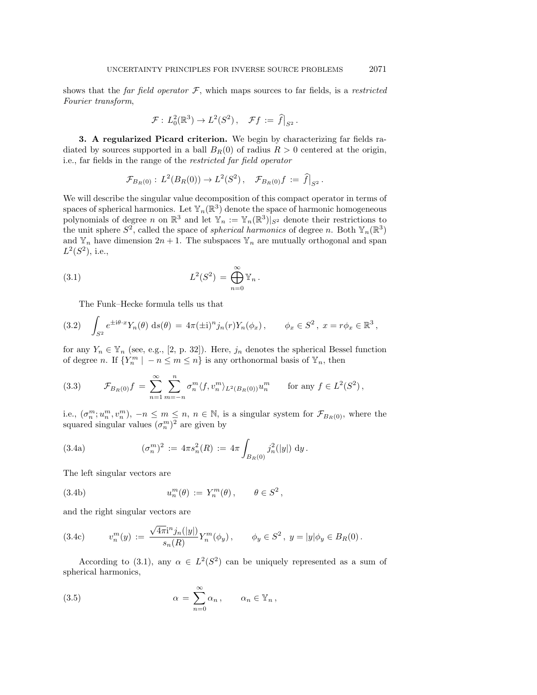shows that the far field operator  $\mathcal{F}$ , which maps sources to far fields, is a restricted Fourier transform,

$$
\mathcal{F}: L_0^2(\mathbb{R}^3) \to L^2(S^2), \quad \mathcal{F}f := \widehat{f}|_{S^2}.
$$

<span id="page-5-0"></span>3. A regularized Picard criterion. We begin by characterizing far fields radiated by sources supported in a ball  $B_R(0)$  of radius  $R > 0$  centered at the origin, i.e., far fields in the range of the restricted far field operator

<span id="page-5-1"></span>
$$
\mathcal{F}_{B_R(0)}: L^2(B_R(0)) \to L^2(S^2), \quad \mathcal{F}_{B_R(0)}f := \hat{f}|_{S^2}.
$$

We will describe the singular value decomposition of this compact operator in terms of spaces of spherical harmonics. Let  $\mathbb{Y}_n(\mathbb{R}^3)$  denote the space of harmonic homogeneous polynomials of degree n on  $\mathbb{R}^3$  and let  $\mathbb{Y}_n := \mathbb{Y}_n(\mathbb{R}^3)|_{S^2}$  denote their restrictions to the unit sphere  $S^2$ , called the space of *spherical harmonics* of degree n. Both  $\mathbb{Y}_n(\mathbb{R}^3)$ and  $\mathbb{Y}_n$  have dimension  $2n + 1$ . The subspaces  $\mathbb{Y}_n$  are mutually orthogonal and span  $L^2(S^2)$ , i.e.,

(3.1) 
$$
L^2(S^2) = \bigoplus_{n=0}^{\infty} \mathbb{Y}_n.
$$

<span id="page-5-4"></span>The Funk–Hecke formula tells us that

$$
(3.2) \quad \int_{S^2} e^{\pm i\theta \cdot x} Y_n(\theta) \, \mathrm{d}s(\theta) = 4\pi (\pm i)^n j_n(r) Y_n(\phi_x), \qquad \phi_x \in S^2, \ x = r\phi_x \in \mathbb{R}^3,
$$

for any  $Y_n \in \mathbb{Y}_n$  (see, e.g., [\[2,](#page-25-4) p. 32]). Here,  $j_n$  denotes the spherical Bessel function of degree *n*. If  $\{Y_n^m \mid -n \leq m \leq n\}$  is any orthonormal basis of  $\mathbb{Y}_n$ , then

(3.3) 
$$
\mathcal{F}_{B_R(0)}f = \sum_{n=1}^{\infty} \sum_{m=-n}^{n} \sigma_n^m \langle f, v_n^m \rangle_{L^2(B_R(0))} u_n^m \quad \text{for any } f \in L^2(S^2),
$$

i.e.,  $(\sigma_n^m; u_n^m, v_n^m)$ ,  $-n \leq m \leq n$ ,  $n \in \mathbb{N}$ , is a singular system for  $\mathcal{F}_{B_R(0)}$ , where the squared singular values  $(\sigma_n^m)^2$  are given by

<span id="page-5-5"></span>(3.4a) 
$$
(\sigma_n^m)^2 := 4\pi s_n^2(R) := 4\pi \int_{B_R(0)} j_n^2(|y|) dy.
$$

The left singular vectors are

(3.4b) 
$$
u_n^m(\theta) := Y_n^m(\theta), \qquad \theta \in S^2,
$$

and the right singular vectors are

<span id="page-5-3"></span>(3.4c) 
$$
v_n^m(y) := \frac{\sqrt{4\pi}i^n j_n(|y|)}{s_n(R)} Y_n^m(\phi_y), \qquad \phi_y \in S^2, \ y = |y|\phi_y \in B_R(0).
$$

According to [\(3.1\)](#page-5-1), any  $\alpha \in L^2(S^2)$  can be uniquely represented as a sum of spherical harmonics,

<span id="page-5-2"></span>(3.5) 
$$
\alpha = \sum_{n=0}^{\infty} \alpha_n, \qquad \alpha_n \in \mathbb{Y}_n,
$$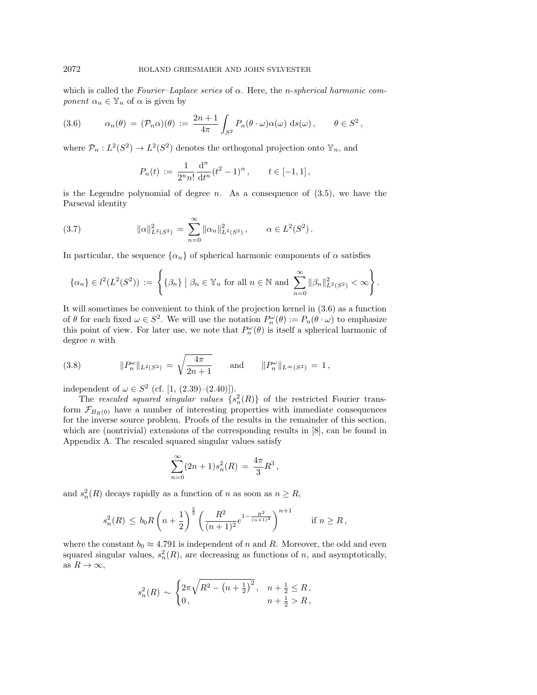which is called the Fourier-Laplace series of  $\alpha$ . Here, the n-spherical harmonic com*ponent*  $\alpha_n \in \mathbb{Y}_n$  of  $\alpha$  is given by

<span id="page-6-0"></span>(3.6) 
$$
\alpha_n(\theta) = (\mathcal{P}_n \alpha)(\theta) := \frac{2n+1}{4\pi} \int_{S^2} P_n(\theta \cdot \omega) \alpha(\omega) \, ds(\omega), \qquad \theta \in S^2,
$$

where  $\mathcal{P}_n: L^2(S^2) \to L^2(S^2)$  denotes the orthogonal projection onto  $\mathbb{Y}_n$ , and

<span id="page-6-1"></span>
$$
P_n(t) := \frac{1}{2^n n!} \frac{d^n}{dt^n} (t^2 - 1)^n, \qquad t \in [-1, 1],
$$

is the Legendre polynomial of degree  $n$ . As a consequence of  $(3.5)$ , we have the Parseval identity

(3.7) 
$$
\|\alpha\|_{L^2(S^2)}^2 = \sum_{n=0}^{\infty} \|\alpha_n\|_{L^2(S^2)}^2, \qquad \alpha \in L^2(S^2).
$$

In particular, the sequence  $\{\alpha_n\}$  of spherical harmonic components of  $\alpha$  satisfies

$$
\{\alpha_n\} \in l^2(L^2(S^2)) := \left\{ \{\beta_n\} \mid \beta_n \in \mathbb{Y}_n \text{ for all } n \in \mathbb{N} \text{ and } \sum_{n=0}^{\infty} ||\beta_n||_{L^2(S^2)}^2 < \infty \right\}.
$$

It will sometimes be convenient to think of the projection kernel in [\(3.6\)](#page-6-0) as a function of  $\theta$  for each fixed  $\omega \in S^2$ . We will use the notation  $P_n^{\omega}(\theta) := P_n(\theta \cdot \omega)$  to emphasize this point of view. For later use, we note that  $P_n^{\omega}(\theta)$  is itself a spherical harmonic of degree  $n$  with

<span id="page-6-2"></span>(3.8) 
$$
||P_n^{\omega}||_{L^2(S^2)} = \sqrt{\frac{4\pi}{2n+1}} \quad \text{and} \quad ||P_n^{\omega}||_{L^{\infty}(S^2)} = 1,
$$

independent of  $\omega \in S^2$  (cf. [\[1,](#page-25-5) (2.39)–(2.40)]).

The rescaled squared singular values  $\{s_n^2(R)\}\;$  of the restricted Fourier transform  $\mathcal{F}_{B_R(0)}$  have a number of interesting properties with immediate consequences for the inverse source problem. Proofs of the results in the remainder of this section, which are (nontrivial) extensions of the corresponding results in [\[8\]](#page-25-1), can be found in Appendix [A.](#page-19-0) The rescaled squared singular values satisfy

$$
\sum_{n=0}^{\infty} (2n+1)s_n^2(R) = \frac{4\pi}{3}R^3,
$$

and  $s_n^2(R)$  decays rapidly as a function of n as soon as  $n \geq R$ ,

$$
s_n^2(R) \, \leq \, b_0 R \left( n + \frac{1}{2} \right)^{\frac{2}{3}} \left( \frac{R^2}{(n+1)^2} e^{1 - \frac{R^2}{(n+1)^2}} \right)^{n+1} \qquad \text{if } n \geq R \, ,
$$

where the constant  $b_0 \approx 4.791$  is independent of n and R. Moreover, the odd and even squared singular values,  $s_n^2(R)$ , are decreasing as functions of n, and asymptotically, as  $R \to \infty$ ,

$$
s_n^2(R) \sim \begin{cases} 2\pi\sqrt{R^2 - \left(n + \frac{1}{2}\right)^2}, & n + \frac{1}{2} \le R, \\ 0, & n + \frac{1}{2} > R, \end{cases}
$$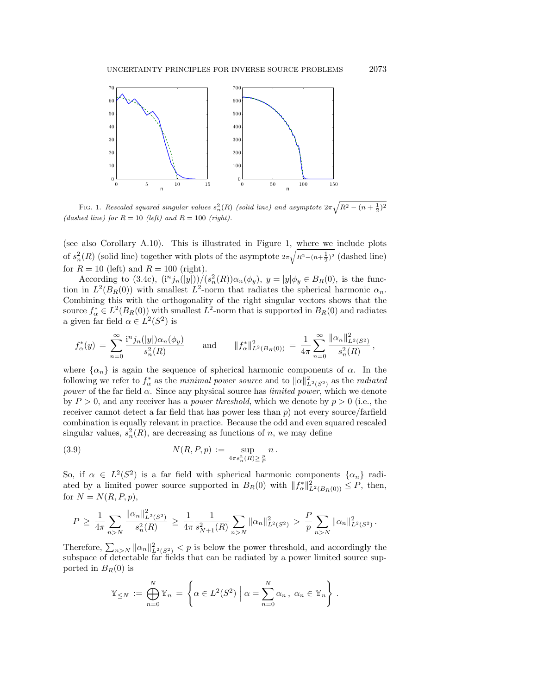<span id="page-7-0"></span>

FIG. 1. Rescaled squared singular values  $s_n^2(R)$  (solid line) and asymptote  $2\pi\sqrt{R^2-(n+\frac{1}{2})^2}$ (dashed line) for  $R = 10$  (left) and  $R = 100$  (right).

(see also Corollary [A.10\)](#page-23-0). This is illustrated in Figure [1,](#page-7-0) where we include plots of  $s_n^2(R)$  (solid line) together with plots of the asymptote  $2\pi\sqrt{R^2-(n+\frac{1}{2})^2}$  (dashed line) for  $R = 10$  (left) and  $R = 100$  (right).

According to [\(3.4c\)](#page-5-3),  $(i^n j_n(|y|))/(s_n^2(R))\alpha_n(\phi_y)$ ,  $y = |y|\phi_y \in B_R(0)$ , is the function in  $L^2(B_R(0))$  with smallest  $L^2$ -norm that radiates the spherical harmonic  $\alpha_n$ . Combining this with the orthogonality of the right singular vectors shows that the source  $f^*_{\alpha} \in L^2(B_R(0))$  with smallest  $L^2$ -norm that is supported in  $B_R(0)$  and radiates a given far field  $\alpha \in L^2(S^2)$  is

$$
f_{\alpha}^*(y) = \sum_{n=0}^{\infty} \frac{i^n j_n(|y|) \alpha_n(\phi_y)}{s_n^2(R)} \quad \text{and} \quad \|f_{\alpha}^*\|_{L^2(B_R(0))}^2 = \frac{1}{4\pi} \sum_{n=0}^{\infty} \frac{\|\alpha_n\|_{L^2(S^2)}^2}{s_n^2(R)},
$$

where  $\{\alpha_n\}$  is again the sequence of spherical harmonic components of  $\alpha$ . In the following we refer to  $f^*_{\alpha}$  as the *minimal power source* and to  $\|\alpha\|_{L^2(S^2)}^2$  as the *radiated power* of the far field  $\alpha$ . Since any physical source has *limited power*, which we denote by  $P > 0$ , and any receiver has a *power threshold*, which we denote by  $p > 0$  (i.e., the receiver cannot detect a far field that has power less than  $p$ ) not every source/farfield combination is equally relevant in practice. Because the odd and even squared rescaled singular values,  $s_n^2(R)$ , are decreasing as functions of n, we may define

<span id="page-7-1"></span>(3.9) 
$$
N(R, P, p) := \sup_{4\pi s_n^2(R) \ge \frac{p}{P}} n.
$$

So, if  $\alpha \in L^2(S^2)$  is a far field with spherical harmonic components  $\{\alpha_n\}$  radiated by a limited power source supported in  $B_R(0)$  with  $||f^*_{\alpha}||^2_{L^2(B_R(0))} \leq P$ , then, for  $N = N(R, P, p)$ ,

$$
P \geq \frac{1}{4\pi} \sum_{n>N} \frac{\|\alpha_n\|_{L^2(S^2)}^2}{s_n^2(R)} \geq \frac{1}{4\pi} \frac{1}{s_{N+1}^2(R)} \sum_{n>N} \|\alpha_n\|_{L^2(S^2)}^2 > \frac{P}{p} \sum_{n>N} \|\alpha_n\|_{L^2(S^2)}^2.
$$

Therefore,  $\sum_{n>N} \|\alpha_n\|_{L^2(S^2)}^2 < p$  is below the power threshold, and accordingly the subspace of detectable far fields that can be radiated by a power limited source supported in  $B_R(0)$  is

$$
\mathbb{Y}_{\leq N} := \bigoplus_{n=0}^{N} \mathbb{Y}_n = \left\{ \alpha \in L^2(S^2) \mid \alpha = \sum_{n=0}^{N} \alpha_n, \ \alpha_n \in \mathbb{Y}_n \right\}.
$$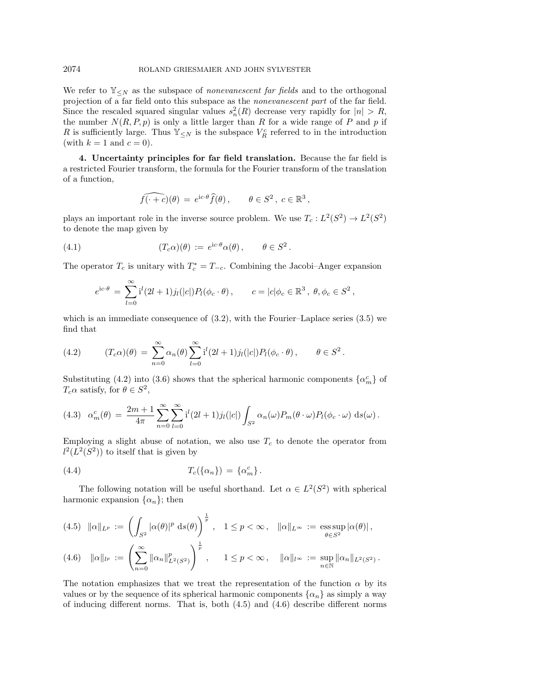We refer to  $\mathbb{Y}_{\leq N}$  as the subspace of *nonevanescent far fields* and to the orthogonal projection of a far field onto this subspace as the nonevanescent part of the far field. Since the rescaled squared singular values  $s_n^2(R)$  decrease very rapidly for  $|n| > R$ , the number  $N(R, P, p)$  is only a little larger than R for a wide range of P and p if R is sufficiently large. Thus  $\mathbb{Y}_{\leq N}$  is the subspace  $V_R^c$  referred to in the introduction (with  $k = 1$  and  $c = 0$ ).

<span id="page-8-0"></span>4. Uncertainty principles for far field translation. Because the far field is a restricted Fourier transform, the formula for the Fourier transform of the translation of a function,

<span id="page-8-4"></span>
$$
\widehat{f(\cdot + c)}(\theta) = e^{ic \cdot \theta} \widehat{f}(\theta), \qquad \theta \in S^2, \ c \in \mathbb{R}^3,
$$

plays an important role in the inverse source problem. We use  $T_c : L^2(S^2) \to L^2(S^2)$ to denote the map given by

.

(4.1) 
$$
(T_c \alpha)(\theta) := e^{ic \cdot \theta} \alpha(\theta), \qquad \theta \in S^2
$$

The operator  $T_c$  is unitary with  $T_c^* = T_{-c}$ . Combining the Jacobi–Anger expansion

$$
e^{ic\cdot\theta} = \sum_{l=0}^{\infty} i^l (2l+1) j_l(|c|) P_l(\phi_c \cdot \theta), \qquad c = |c| \phi_c \in \mathbb{R}^3, \ \theta, \phi_c \in S^2,
$$

which is an immediate consequence of  $(3.2)$ , with the Fourier–Laplace series  $(3.5)$  we find that

<span id="page-8-1"></span>(4.2) 
$$
(T_c \alpha)(\theta) = \sum_{n=0}^{\infty} \alpha_n(\theta) \sum_{l=0}^{\infty} i^l (2l+1) j_l(|c|) P_l(\phi_c \cdot \theta), \qquad \theta \in S^2.
$$

Substituting [\(4.2\)](#page-8-1) into [\(3.6\)](#page-6-0) shows that the spherical harmonic components  $\{\alpha_m^c\}$  of  $T_c \alpha$  satisfy, for  $\theta \in S^2$ ,

<span id="page-8-6"></span>
$$
(4.3) \quad \alpha_m^c(\theta) = \frac{2m+1}{4\pi} \sum_{n=0}^{\infty} \sum_{l=0}^{\infty} \mathbf{i}^l (2l+1) j_l(|c|) \int_{S^2} \alpha_n(\omega) P_m(\theta \cdot \omega) P_l(\phi_c \cdot \omega) \, \mathrm{d}s(\omega).
$$

Employing a slight abuse of notation, we also use  $T_c$  to denote the operator from  $l^2(L^2(S^2))$  to itself that is given by

<span id="page-8-5"></span>(4.4) 
$$
T_c({\alpha_n}) = {\alpha_m^c}.
$$

The following notation will be useful shorthand. Let  $\alpha \in L^2(S^2)$  with spherical harmonic expansion  $\{\alpha_n\}$ ; then

<span id="page-8-3"></span><span id="page-8-2"></span>
$$
(4.5) \quad ||\alpha||_{L^p} := \left(\int_{S^2} |\alpha(\theta)|^p \, ds(\theta)\right)^{\frac{1}{p}}, \quad 1 \le p < \infty, \quad ||\alpha||_{L^{\infty}} := \operatorname*{ess\,sup}_{\theta \in S^2} |\alpha(\theta)|,
$$
\n
$$
(4.6) \quad ||\alpha||_{l^p} := \left(\sum_{n=0}^{\infty} ||\alpha_n||_{L^2(S^2)}^p\right)^{\frac{1}{p}}, \quad 1 \le p < \infty, \quad ||\alpha||_{l^{\infty}} := \sup_{n \in \mathbb{N}} ||\alpha_n||_{L^2(S^2)}.
$$

The notation emphasizes that we treat the representation of the function  $\alpha$  by its values or by the sequence of its spherical harmonic components  $\{\alpha_n\}$  as simply a way of inducing different norms. That is, both [\(4.5\)](#page-8-2) and [\(4.6\)](#page-8-3) describe different norms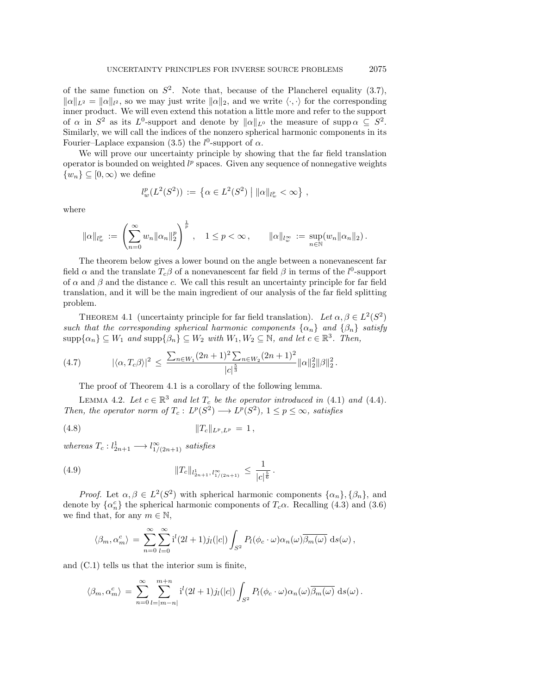of the same function on  $S^2$ . Note that, because of the Plancherel equality [\(3.7\)](#page-6-1),  $\|\alpha\|_{L^2} = \|\alpha\|_{l^2}$ , so we may just write  $\|\alpha\|_2$ , and we write  $\langle \cdot, \cdot \rangle$  for the corresponding inner product. We will even extend this notation a little more and refer to the support of  $\alpha$  in  $S^2$  as its  $L^0$ -support and denote by  $\|\alpha\|_{L^0}$  the measure of supp $\alpha \subseteq S^2$ . Similarly, we will call the indices of the nonzero spherical harmonic components in its Fourier–Laplace expansion [\(3.5\)](#page-5-2) the  $l^0$ -support of  $\alpha$ .

We will prove our uncertainty principle by showing that the far field translation operator is bounded on weighted  $l^p$  spaces. Given any sequence of nonnegative weights  $\{w_n\} \subseteq [0,\infty)$  we define

$$
l_w^p(L^2(S^2)) := \{ \alpha \in L^2(S^2) \mid ||\alpha||_{l_w^p} < \infty \},
$$

where

$$
\|\alpha\|_{l^p_w} := \left(\sum_{n=0}^{\infty} w_n \|\alpha_n\|_2^p\right)^{\frac{1}{p}}, \quad 1 \le p < \infty, \qquad \|\alpha\|_{l^{\infty}_w} := \sup_{n \in \mathbb{N}} (w_n \|\alpha_n\|_2).
$$

The theorem below gives a lower bound on the angle between a nonevanescent far field  $\alpha$  and the translate  $T_c\beta$  of a nonevanescent far field  $\beta$  in terms of the  $l^0$ -support of  $\alpha$  and  $\beta$  and the distance c. We call this result an uncertainty principle for far field translation, and it will be the main ingredient of our analysis of the far field splitting problem.

<span id="page-9-0"></span>THEOREM 4.1 (uncertainty principle for far field translation). Let  $\alpha, \beta \in L^2(S^2)$ such that the corresponding spherical harmonic components  $\{\alpha_n\}$  and  $\{\beta_n\}$  satisfy  $\text{supp}\{\alpha_n\} \subseteq W_1$  and  $\text{supp}\{\beta_n\} \subseteq W_2$  with  $W_1, W_2 \subseteq \mathbb{N}$ , and let  $c \in \mathbb{R}^3$ . Then,

$$
(4.7) \qquad |\langle \alpha, T_c \beta \rangle|^2 \leq \frac{\sum_{n \in W_1} (2n+1)^2 \sum_{n \in W_2} (2n+1)^2}{|c|^{\frac{5}{3}}} \|\alpha\|_2^2 \|\beta\|_2^2.
$$

<span id="page-9-4"></span><span id="page-9-2"></span>The proof of Theorem [4.1](#page-9-0) is a corollary of the following lemma.

<span id="page-9-3"></span>LEMMA 4.2. Let  $c \in \mathbb{R}^3$  and let  $T_c$  be the operator introduced in [\(4.1\)](#page-8-4) and [\(4.4\)](#page-8-5). Then, the operator norm of  $T_c: L^p(S^2) \longrightarrow L^p(S^2)$ ,  $1 \leq p \leq \infty$ , satisfies

(4.8) 
$$
||T_c||_{L^p, L^p} = 1,
$$

whereas  $T_c: l^1_{2n+1} \longrightarrow l^{\infty}_{1/(2n+1)}$  satisfies

(4.9) 
$$
||T_c||_{l_{2n+1}^1, l_{1/(2n+1)}^{\infty}} \leq \frac{1}{|c|^{\frac{5}{6}}}.
$$

*Proof.* Let  $\alpha, \beta \in L^2(S^2)$  with spherical harmonic components  $\{\alpha_n\}, \{\beta_n\},\$  and denote by  $\{\alpha_n^c\}$  the spherical harmonic components of  $T_c\alpha$ . Recalling [\(4.3\)](#page-8-6) and [\(3.6\)](#page-6-0) we find that, for any  $m \in \mathbb{N}$ ,

<span id="page-9-1"></span>
$$
\langle \beta_m, \alpha_m^c \rangle = \sum_{n=0}^{\infty} \sum_{l=0}^{\infty} i^l (2l+1) j_l(|c|) \int_{S^2} P_l(\phi_c \cdot \omega) \alpha_n(\omega) \overline{\beta_m(\omega)} \, ds(\omega),
$$

and [\(C.1\)](#page-25-6) tells us that the interior sum is finite,

$$
\langle \beta_m, \alpha_m^c \rangle = \sum_{n=0}^{\infty} \sum_{l=|m-n|}^{m+n} i^l (2l+1) j_l(|c|) \int_{S^2} P_l(\phi_c \cdot \omega) \alpha_n(\omega) \overline{\beta_m(\omega)} \, ds(\omega).
$$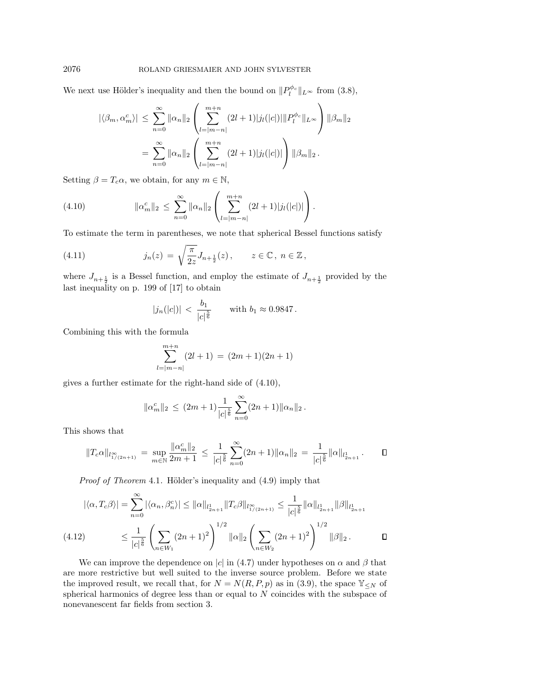We next use Hölder's inequality and then the bound on  $||P_l^{\phi_c}||_{L^{\infty}}$  from [\(3.8\)](#page-6-2),

$$
|\langle \beta_m, \alpha_m^c \rangle| \leq \sum_{n=0}^{\infty} \|\alpha_n\|_2 \left( \sum_{l=|m-n|}^{m+n} (2l+1)|j_l(|c|)||P_l^{\phi_c}||_{L^{\infty}} \right) \|\beta_m\|_2
$$
  

$$
= \sum_{n=0}^{\infty} \|\alpha_n\|_2 \left( \sum_{l=|m-n|}^{m+n} (2l+1)|j_l(|c|)| \right) \|\beta_m\|_2.
$$

Setting  $\beta = T_c \alpha$ , we obtain, for any  $m \in \mathbb{N}$ ,

<span id="page-10-0"></span>(4.10) 
$$
\|\alpha_m^c\|_2 \leq \sum_{n=0}^{\infty} \|\alpha_n\|_2 \left( \sum_{l=|m-n|}^{m+n} (2l+1)|j_l(|c|)| \right).
$$

To estimate the term in parentheses, we note that spherical Bessel functions satisfy

(4.11) 
$$
j_n(z) = \sqrt{\frac{\pi}{2z}} J_{n+\frac{1}{2}}(z), \qquad z \in \mathbb{C}, n \in \mathbb{Z},
$$

where  $J_{n+\frac{1}{2}}$  is a Bessel function, and employ the estimate of  $J_{n+\frac{1}{2}}$  provided by the last inequality on p. 199 of [\[17\]](#page-26-5) to obtain

<span id="page-10-2"></span>
$$
|j_n(|c|)| \, < \, \frac{b_1}{|c|^{\frac{5}{6}}} \qquad \text{with } b_1 \approx 0.9847 \, .
$$

Combining this with the formula

$$
\sum_{l=|m-n|}^{m+n} (2l+1) = (2m+1)(2n+1)
$$

gives a further estimate for the right-hand side of [\(4.10\)](#page-10-0),

$$
\|\alpha_m^c\|_2 \le (2m+1)\frac{1}{|c|^{\frac{5}{6}}}\sum_{n=0}^{\infty} (2n+1)\|\alpha_n\|_2.
$$

This shows that

$$
||T_c \alpha||_{l^{\infty}_{1/(2n+1)}} = \sup_{m \in \mathbb{N}} \frac{||\alpha_m^c||_2}{2m+1} \leq \frac{1}{|c|^{\frac{5}{6}}} \sum_{n=0}^{\infty} (2n+1) ||\alpha_n||_2 = \frac{1}{|c|^{\frac{5}{6}}} ||\alpha||_{l^1_{2n+1}}.
$$

*Proof of Theorem* [4.1](#page-9-0). Hölder's inequality and  $(4.9)$  imply that

$$
|\langle \alpha, T_c \beta \rangle| = \sum_{n=0}^{\infty} |\langle \alpha_n, \beta_n^c \rangle| \le ||\alpha||_{l_{2n+1}^1} ||T_c \beta||_{l_{1/(2n+1)}^{\infty}} \le \frac{1}{|c|^{\frac{5}{6}}} ||\alpha||_{l_{2n+1}^1} ||\beta||_{l_{2n+1}^1}
$$
  
(4.12) 
$$
\le \frac{1}{|c|^{\frac{5}{6}}} \left( \sum_{n \in W_1} (2n+1)^2 \right)^{1/2} ||\alpha||_2 \left( \sum_{n \in W_2} (2n+1)^2 \right)^{1/2} ||\beta||_2.
$$

<span id="page-10-3"></span><span id="page-10-1"></span>We can improve the dependence on |c| in [\(4.7\)](#page-9-2) under hypotheses on  $\alpha$  and  $\beta$  that are more restrictive but well suited to the inverse source problem. Before we state the improved result, we recall that, for  $N = N(R, P, p)$  as in [\(3.9\)](#page-7-1), the space  $\mathbb{Y}_{\leq N}$  of spherical harmonics of degree less than or equal to N coincides with the subspace of nonevanescent far fields from section [3.](#page-5-0)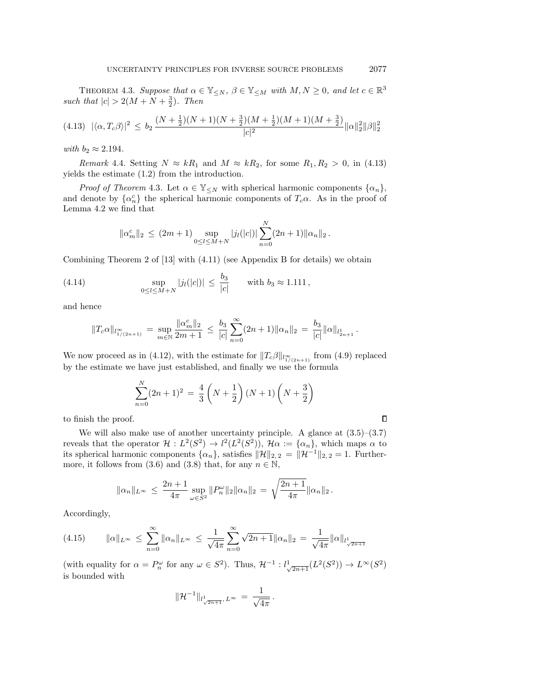THEOREM 4.3. Suppose that  $\alpha \in \mathbb{Y}_{\leq N}$ ,  $\beta \in \mathbb{Y}_{\leq M}$  with  $M, N \geq 0$ , and let  $c \in \mathbb{R}^3$ such that  $|c| > 2(M + N + \frac{3}{2})$ . Then

<span id="page-11-0"></span>
$$
(4.13)\ |\langle \alpha, T_c\beta \rangle|^2 \le b_2 \frac{(N+\frac{1}{2})(N+1)(N+\frac{3}{2})(M+\frac{1}{2})(M+1)(M+\frac{3}{2})}{|c|^2} \|\alpha\|_2^2 \|\beta\|_2^2
$$

with  $b_2 \approx 2.194$ .

Remark 4.4. Setting  $N \approx kR_1$  and  $M \approx kR_2$ , for some  $R_1, R_2 > 0$ , in [\(4.13\)](#page-11-0) yields the estimate [\(1.2\)](#page-2-2) from the introduction.

*Proof of Theorem [4.3](#page-10-1).* Let  $\alpha \in \mathbb{Y}_{\leq N}$  with spherical harmonic components  $\{\alpha_n\}$ , and denote by  $\{\alpha_n^c\}$  the spherical harmonic components of  $T_c\alpha$ . As in the proof of Lemma [4.2](#page-9-3) we find that

<span id="page-11-2"></span>
$$
\|\alpha_m^c\|_2 \le (2m+1) \sup_{0 \le l \le M+N} |j_l(|c|)| \sum_{n=0}^N (2n+1) \|\alpha_n\|_2.
$$

Combining Theorem 2 of [\[13\]](#page-26-6) with [\(4.11\)](#page-10-2) (see Appendix [B](#page-24-0) for details) we obtain

(4.14) 
$$
\sup_{0 \le l \le M+N} |j_l(|c|)| \le \frac{b_3}{|c|} \quad \text{with } b_3 \approx 1.111,
$$

and hence

$$
||T_c \alpha||_{l^{\infty}_{1/(2n+1)}} = \sup_{m \in \mathbb{N}} \frac{||\alpha_m^c||_2}{2m+1} \leq \frac{b_3}{|c|} \sum_{n=0}^{\infty} (2n+1) ||\alpha_n||_2 = \frac{b_3}{|c|} ||\alpha||_{l^1_{2n+1}}.
$$

We now proceed as in [\(4.12\)](#page-10-3), with the estimate for  $||T_c\beta||_{l^{\infty}_{1/(2n+1)}}$  from [\(4.9\)](#page-9-1) replaced by the estimate we have just established, and finally we use the formula

$$
\sum_{n=0}^{N} (2n+1)^2 = \frac{4}{3} \left( N + \frac{1}{2} \right) (N+1) \left( N + \frac{3}{2} \right)
$$

to finish the proof.

We will also make use of another uncertainty principle. A glance at  $(3.5)$ – $(3.7)$ reveals that the operator  $\mathcal{H}: L^2(S^2) \to l^2(L^2(S^2))$ ,  $\mathcal{H}\alpha := {\alpha_n}$ , which maps  $\alpha$  to its spherical harmonic components  $\{\alpha_n\}$ , satisfies  $\|\mathcal{H}\|_{2,2} = \|\mathcal{H}^{-1}\|_{2,2} = 1$ . Further-more, it follows from [\(3.6\)](#page-6-0) and [\(3.8\)](#page-6-2) that, for any  $n \in \mathbb{N}$ ,

$$
\|\alpha_n\|_{L^{\infty}} \le \frac{2n+1}{4\pi} \sup_{\omega \in S^2} ||P_n^{\omega}||_2 \|\alpha_n\|_2 = \sqrt{\frac{2n+1}{4\pi}} \|\alpha_n\|_2.
$$

Accordingly,

<span id="page-11-1"></span>
$$
(4.15) \qquad \|\alpha\|_{L^{\infty}} \le \sum_{n=0}^{\infty} \|\alpha_n\|_{L^{\infty}} \le \frac{1}{\sqrt{4\pi}} \sum_{n=0}^{\infty} \sqrt{2n+1} \|\alpha_n\|_2 = \frac{1}{\sqrt{4\pi}} \|\alpha\|_{l_{\sqrt{2n+1}}}.
$$

(with equality for  $\alpha = P_n^{\omega}$  for any  $\omega \in S^2$ ). Thus,  $\mathcal{H}^{-1}: l^1_{\sqrt{2n+1}}(L^2(S^2)) \to L^{\infty}(S^2)$ is bounded with

$$
\|{\mathcal H}^{-1}\|_{l^1_{\sqrt{2n+1}},\,L^\infty} \, = \, \frac{1}{\sqrt{4\pi}} \, .
$$

 $\Box$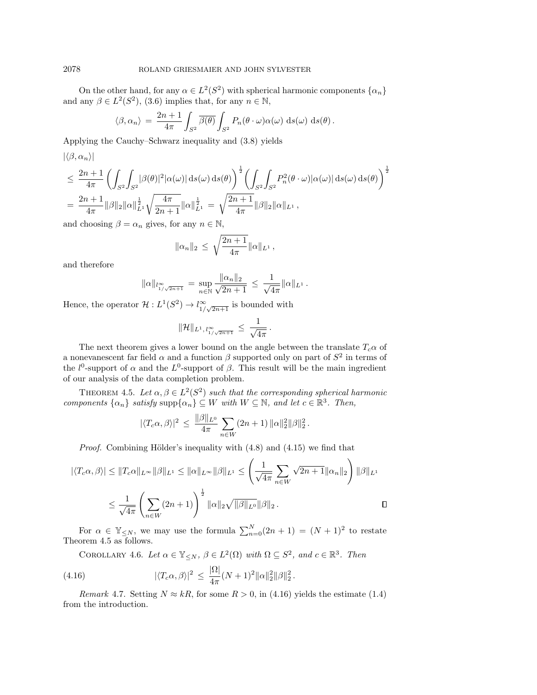On the other hand, for any  $\alpha \in L^2(S^2)$  with spherical harmonic components  $\{\alpha_n\}$ and any  $\beta \in L^2(S^2)$ , [\(3.6\)](#page-6-0) implies that, for any  $n \in \mathbb{N}$ ,

$$
\langle \beta, \alpha_n \rangle = \frac{2n+1}{4\pi} \int_{S^2} \overline{\beta(\theta)} \int_{S^2} P_n(\theta \cdot \omega) \alpha(\omega) \, \mathrm{d}s(\omega) \, \mathrm{d}s(\theta).
$$

Applying the Cauchy–Schwarz inequality and [\(3.8\)](#page-6-2) yields

$$
\leq \frac{2n+1}{4\pi} \left( \int_{S^2} \int_{S^2} |\beta(\theta)|^2 |\alpha(\omega)| d s(\theta) \right)^{\frac{1}{2}} \left( \int_{S^2} \int_{S^2} P_n^2(\theta \cdot \omega) |\alpha(\omega)| d s(\theta) \right)^{\frac{1}{2}}
$$
  
= 
$$
\frac{2n+1}{4\pi} ||\beta||_2 ||\alpha||_{L^1}^{\frac{1}{2}} \sqrt{\frac{4\pi}{2n+1}} ||\alpha||_{L^1}^{\frac{1}{2}} = \sqrt{\frac{2n+1}{4\pi}} ||\beta||_2 ||\alpha||_{L^1},
$$

and choosing  $\beta = \alpha_n$  gives, for any  $n \in \mathbb{N}$ ,

$$
\|\alpha_n\|_2 \, \leq \, \sqrt{\frac{2n+1}{4\pi}} \|\alpha\|_{L^1} \, ,
$$

and therefore

$$
\|\alpha\|_{l^{\infty}_{1/\sqrt{2n+1}}} = \sup_{n \in \mathbb{N}} \frac{\|\alpha_n\|_2}{\sqrt{2n+1}} \leq \frac{1}{\sqrt{4\pi}} \|\alpha\|_{L^1}.
$$

Hence, the operator  $\mathcal{H}: L^1(S^2) \to \mathcal{L}^{\infty}_{1/\sqrt{2n+1}}$  is bounded with

$$
\|\mathcal{H}\|_{L^1, l^{\infty}_{1/\sqrt{2n+1}}} \leq \frac{1}{\sqrt{4\pi}}.
$$

The next theorem gives a lower bound on the angle between the translate  $T_c\alpha$  of a nonevanescent far field  $\alpha$  and a function  $\beta$  supported only on part of  $S^2$  in terms of the  $l^0$ -support of  $\alpha$  and the  $L^0$ -support of  $\beta$ . This result will be the main ingredient of our analysis of the data completion problem.

<span id="page-12-0"></span>THEOREM 4.5. Let  $\alpha, \beta \in L^2(S^2)$  such that the corresponding spherical harmonic components  $\{\alpha_n\}$  satisfy  $\text{supp}\{\alpha_n\} \subseteq W$  with  $W \subseteq \mathbb{N}$ , and let  $c \in \mathbb{R}^3$ . Then,

$$
|\langle T_c\alpha, \beta \rangle|^2 \le \frac{\|\beta\|_{L^0}}{4\pi} \sum_{n \in W} (2n+1) \, \|\alpha\|_2^2 \|\beta\|_2^2.
$$

*Proof.* Combining Hölder's inequality with  $(4.8)$  and  $(4.15)$  we find that

$$
|\langle T_c \alpha, \beta \rangle| \le ||T_c \alpha||_{L^{\infty}} ||\beta||_{L^1} \le ||\alpha||_{L^{\infty}} ||\beta||_{L^1} \le \left(\frac{1}{\sqrt{4\pi}} \sum_{n \in W} \sqrt{2n+1} ||\alpha_n||_2\right) ||\beta||_{L^1}
$$
  

$$
\le \frac{1}{\sqrt{4\pi}} \left(\sum_{n \in W} (2n+1)\right)^{\frac{1}{2}} ||\alpha||_2 \sqrt{||\beta||_{L^0}} ||\beta||_2.
$$

For  $\alpha \in \mathbb{Y}_{\leq N}$ , we may use the formula  $\sum_{n=0}^{N} (2n + 1) = (N + 1)^2$  to restate Theorem [4.5](#page-12-0) as follows.

<span id="page-12-2"></span><span id="page-12-1"></span>COROLLARY 4.6. Let  $\alpha \in \mathbb{Y}_{\leq N}$ ,  $\beta \in L^2(\Omega)$  with  $\Omega \subseteq S^2$ , and  $c \in \mathbb{R}^3$ . Then

(4.16) 
$$
|\langle T_c \alpha, \beta \rangle|^2 \leq \frac{|\Omega|}{4\pi} (N+1)^2 ||\alpha||_2^2 ||\beta||_2^2.
$$

Remark 4.7. Setting  $N \approx kR$ , for some  $R > 0$ , in [\(4.16\)](#page-12-1) yields the estimate [\(1.4\)](#page-2-3) from the introduction.

 $|\langle \beta, \alpha_n \rangle|$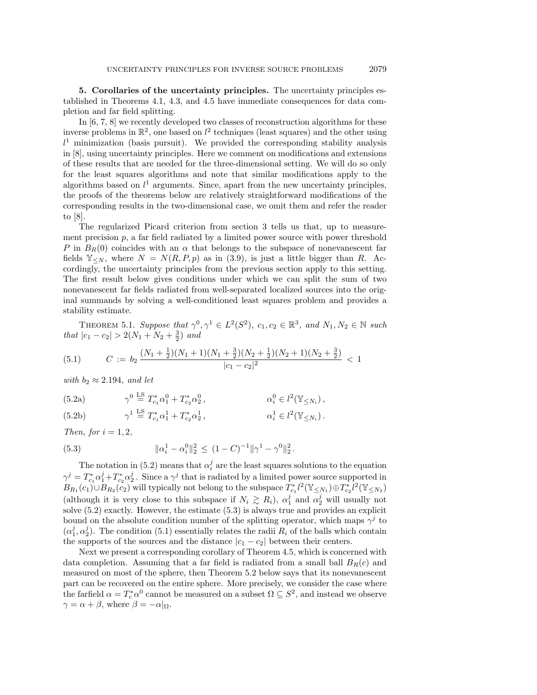<span id="page-13-0"></span>5. Corollaries of the uncertainty principles. The uncertainty principles established in Theorems [4.1,](#page-9-0) [4.3,](#page-10-1) and [4.5](#page-12-0) have immediate consequences for data completion and far field splitting.

In [\[6,](#page-25-7) [7,](#page-25-8) [8\]](#page-25-1) we recently developed two classes of reconstruction algorithms for these inverse problems in  $\mathbb{R}^2$ , one based on  $l^2$  techniques (least squares) and the other using  $l<sup>1</sup>$  minimization (basis pursuit). We provided the corresponding stability analysis in [\[8\]](#page-25-1), using uncertainty principles. Here we comment on modifications and extensions of these results that are needed for the three-dimensional setting. We will do so only for the least squares algorithms and note that similar modifications apply to the algorithms based on  $l<sup>1</sup>$  arguments. Since, apart from the new uncertainty principles, the proofs of the theorems below are relatively straightforward modifications of the corresponding results in the two-dimensional case, we omit them and refer the reader to [\[8\]](#page-25-1).

The regularized Picard criterion from section [3](#page-5-0) tells us that, up to measurement precision  $p$ , a far field radiated by a limited power source with power threshold P in  $B_R(0)$  coincides with an  $\alpha$  that belongs to the subspace of nonevanescent far fields  $\mathbb{Y}_{\leq N}$ , where  $N = N(R, P, p)$  as in [\(3.9\)](#page-7-1), is just a little bigger than R. Accordingly, the uncertainty principles from the previous section apply to this setting. The first result below gives conditions under which we can split the sum of two nonevanescent far fields radiated from well-separated localized sources into the original summands by solving a well-conditioned least squares problem and provides a stability estimate.

<span id="page-13-5"></span>THEOREM 5.1. Suppose that  $\gamma^0, \gamma^1 \in L^2(S^2)$ ,  $c_1, c_2 \in \mathbb{R}^3$ , and  $N_1, N_2 \in \mathbb{N}$  such that  $|c_1 - c_2| > 2(N_1 + N_2 + \frac{3}{2})$  and

<span id="page-13-3"></span>(5.1) 
$$
C := b_2 \frac{(N_1 + \frac{1}{2})(N_1 + 1)(N_1 + \frac{3}{2})(N_2 + \frac{1}{2})(N_2 + 1)(N_2 + \frac{3}{2})}{|c_1 - c_2|^2} < 1
$$

<span id="page-13-1"></span>with  $b_2 \approx 2.194$ , and let

(5.2a) 
$$
\gamma^0 \stackrel{\text{LS}}{=} T_{c_1}^* \alpha_1^0 + T_{c_2}^* \alpha_2^0, \qquad \alpha_i^0 \in l^2(\mathbb{Y}_{\leq N_i}),
$$

(5.2b) 
$$
\gamma^1 \stackrel{\text{LS}}{=} T_{c_1}^* \alpha_1^1 + T_{c_2}^* \alpha_2^1, \qquad \alpha_i^1 \in l^2(\mathbb{Y}_{\leq N_i}).
$$

Then, for  $i = 1, 2$ ,

<span id="page-13-2"></span>(5.3) 
$$
\|\alpha_i^1 - \alpha_i^0\|_2^2 \le (1 - C)^{-1} \|\gamma^1 - \gamma^0\|_2^2.
$$

The notation in [\(5.2\)](#page-13-1) means that  $\alpha_i^j$  are the least squares solutions to the equation  $\gamma^j = T_{c_1}^* \alpha_1^j + T_{c_2}^* \alpha_2^j$ . Since a  $\gamma^j$  that is radiated by a limited power source supported in  $B_{R_1}(c_1) \cup B_{R_2}(c_2)$  will typically not belong to the subspace  $T_{c_1}^* l^2(\mathbb{Y}_{\leq N_1}) \oplus T_{c_2}^* l^2(\mathbb{Y}_{\leq N_2})$ (although it is very close to this subspace if  $N_i \gtrsim R_i$ ),  $\alpha_1^j$  and  $\alpha_2^j$  will usually not solve [\(5.2\)](#page-13-1) exactly. However, the estimate [\(5.3\)](#page-13-2) is always true and provides an explicit bound on the absolute condition number of the splitting operator, which maps  $\gamma^j$  to  $(\alpha_1^j, \alpha_2^j)$ . The condition [\(5.1\)](#page-13-3) essentially relates the radii  $R_i$  of the balls which contain the supports of the sources and the distance  $|c_1 - c_2|$  between their centers.

<span id="page-13-4"></span>Next we present a corresponding corollary of Theorem [4.5,](#page-12-0) which is concerned with data completion. Assuming that a far field is radiated from a small ball  $B_R(c)$  and measured on most of the sphere, then Theorem [5.2](#page-13-4) below says that its nonevanescent part can be recovered on the entire sphere. More precisely, we consider the case where the farfield  $\alpha = T_c^* \alpha^0$  cannot be measured on a subset  $\Omega \subseteq S^2$ , and instead we observe  $\gamma = \alpha + \beta$ , where  $\beta = -\alpha|_{\Omega}$ .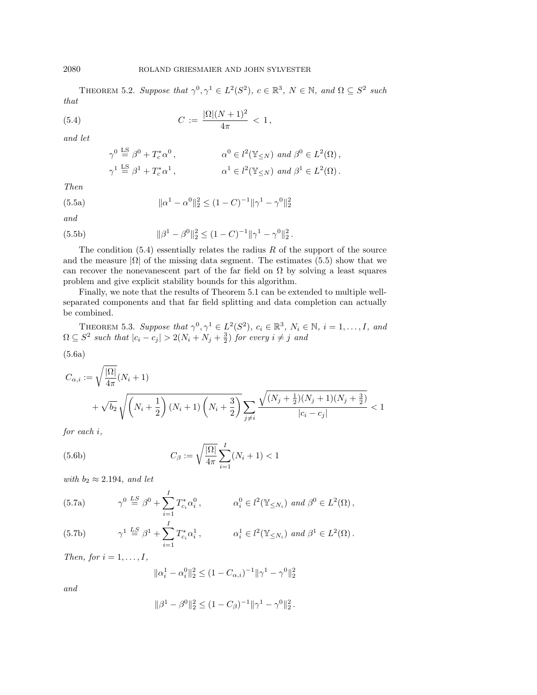THEOREM 5.2. Suppose that  $\gamma^0, \gamma^1 \in L^2(S^2)$ ,  $c \in \mathbb{R}^3$ ,  $N \in \mathbb{N}$ , and  $\Omega \subseteq S^2$  such that

(5.4) 
$$
C := \frac{|\Omega|(N+1)^2}{4\pi} < 1,
$$

and let

<span id="page-14-0"></span>
$$
\gamma^0 \stackrel{\text{LS}}{=} \beta^0 + T_c^* \alpha^0, \qquad \alpha^0 \in l^2(\mathbb{Y}_{\leq N}) \text{ and } \beta^0 \in L^2(\Omega),
$$
  

$$
\gamma^1 \stackrel{\text{LS}}{=} \beta^1 + T_c^* \alpha^1, \qquad \alpha^1 \in l^2(\mathbb{Y}_{\leq N}) \text{ and } \beta^1 \in L^2(\Omega).
$$

<span id="page-14-1"></span>Then

(5.5a) 
$$
\|\alpha^1 - \alpha^0\|_2^2 \le (1 - C)^{-1} \|\gamma^1 - \gamma^0\|_2^2
$$

and

(5.5b) 
$$
\|\beta^1 - \beta^0\|_2^2 \le (1 - C)^{-1} \|\gamma^1 - \gamma^0\|_2^2.
$$

The condition  $(5.4)$  essentially relates the radius R of the support of the source and the measure  $|\Omega|$  of the missing data segment. The estimates [\(5.5\)](#page-14-1) show that we can recover the nonevanescent part of the far field on  $\Omega$  by solving a least squares problem and give explicit stability bounds for this algorithm.

Finally, we note that the results of Theorem [5.1](#page-13-5) can be extended to multiple wellseparated components and that far field splitting and data completion can actually be combined.

<span id="page-14-2"></span>THEOREM 5.3. Suppose that  $\gamma^0, \gamma^1 \in L^2(S^2)$ ,  $c_i \in \mathbb{R}^3$ ,  $N_i \in \mathbb{N}$ ,  $i = 1, ..., I$ , and  $\Omega \subseteq S^2$  such that  $|c_i - c_j| > 2(N_i + N_j + \frac{3}{2})$  for every  $i \neq j$  and

<span id="page-14-4"></span>
$$
(5.6a)
$$

$$
C_{\alpha,i} := \sqrt{\frac{|\Omega|}{4\pi}} (N_i + 1)
$$
  
+  $\sqrt{b_2} \sqrt{\left(N_i + \frac{1}{2}\right) (N_i + 1) \left(N_i + \frac{3}{2}\right)} \sum_{j \neq i} \frac{\sqrt{(N_j + \frac{1}{2})(N_j + 1)(N_j + \frac{3}{2})}}{|c_i - c_j|} < 1$ 

for each i,

(5.6b) 
$$
C_{\beta} := \sqrt{\frac{|\Omega|}{4\pi}} \sum_{i=1}^{I} (N_i + 1) < 1
$$

<span id="page-14-3"></span>with  $b_2 \approx 2.194$ , and let

(5.7a) 
$$
\gamma^0 \stackrel{LS}{=} \beta^0 + \sum_{i=1}^I T_{c_i}^* \alpha_i^0, \qquad \alpha_i^0 \in l^2(\mathbb{Y}_{\leq N_i}) \text{ and } \beta^0 \in L^2(\Omega),
$$

(5.7b) 
$$
\gamma^1 \stackrel{LS}{=} \beta^1 + \sum_{i=1}^I T_{c_i}^* \alpha_i^1, \qquad \alpha_i^1 \in l^2(\mathbb{Y}_{\leq N_i}) \text{ and } \beta^1 \in L^2(\Omega).
$$

Then, for  $i = 1, \ldots, I$ ,

$$
\|\alpha_i^1 - \alpha_i^0\|_2^2 \le (1 - C_{\alpha,i})^{-1} \|\gamma^1 - \gamma^0\|_2^2
$$

and

$$
\|\beta^1-\beta^0\|_2^2\leq (1-C_\beta)^{-1}\|\gamma^1-\gamma^0\|_2^2\,.
$$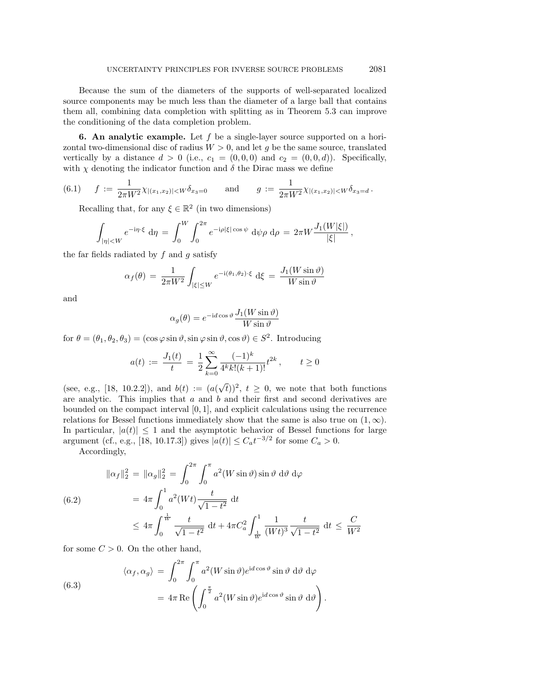Because the sum of the diameters of the supports of well-separated localized source components may be much less than the diameter of a large ball that contains them all, combining data completion with splitting as in Theorem [5.3](#page-14-2) can improve the conditioning of the data completion problem.

<span id="page-15-0"></span>**6.** An analytic example. Let  $f$  be a single-layer source supported on a horizontal two-dimensional disc of radius  $W > 0$ , and let g be the same source, translated vertically by a distance  $d > 0$  (i.e.,  $c_1 = (0, 0, 0)$  and  $c_2 = (0, 0, d)$ ). Specifically, with  $\chi$  denoting the indicator function and  $\delta$  the Dirac mass we define

(6.1) 
$$
f := \frac{1}{2\pi W^2} \chi_{|(x_1, x_2)| < W} \delta_{x_3 = 0}
$$
 and  $g := \frac{1}{2\pi W^2} \chi_{|(x_1, x_2)| < W} \delta_{x_3 = d}$ .

<span id="page-15-3"></span>Recalling that, for any  $\xi \in \mathbb{R}^2$  (in two dimensions)

$$
\int_{|\eta|
$$

the far fields radiated by  $f$  and  $g$  satisfy

$$
\alpha_f(\theta) = \frac{1}{2\pi W^2} \int_{|\xi| \le W} e^{-i(\theta_1, \theta_2) \cdot \xi} d\xi = \frac{J_1(W \sin \vartheta)}{W \sin \vartheta}
$$

and

$$
\alpha_g(\theta) = e^{-id \cos \theta} \frac{J_1(W \sin \theta)}{W \sin \theta}
$$

for  $\theta = (\theta_1, \theta_2, \theta_3) = (\cos \varphi \sin \vartheta, \sin \varphi \sin \vartheta, \cos \vartheta) \in S^2$ . Introducing

$$
a(t)\,:=\,\frac{J_1(t)}{t}\,=\,\frac{1}{2}\sum_{k=0}^\infty\frac{(-1)^k}{4^kk!(k+1)!}t^{2k}\,,\qquad t\geq 0
$$

(see, e.g., [\[18,](#page-26-7) 10.2.2]), and  $b(t) := (a(t))$  $(\sqrt{t})^2$ ,  $t \geq 0$ , we note that both functions are analytic. This implies that  $a$  and  $b$  and their first and second derivatives are bounded on the compact interval [0, 1], and explicit calculations using the recurrence relations for Bessel functions immediately show that the same is also true on  $(1, \infty)$ . In particular,  $|a(t)| \leq 1$  and the asymptotic behavior of Bessel functions for large argument (cf., e.g., [\[18,](#page-26-7) 10.17.3]) gives  $|a(t)| \leq C_a t^{-3/2}$  for some  $C_a > 0$ .

Accordingly,

<span id="page-15-2"></span>
$$
\|\alpha_f\|_2^2 = \|\alpha_g\|_2^2 = \int_0^{2\pi} \int_0^{\pi} a^2 (W \sin \vartheta) \sin \vartheta \, d\vartheta \, d\varphi
$$
  
(6.2)  

$$
= 4\pi \int_0^1 a^2 (Wt) \frac{t}{\sqrt{1-t^2}} \, dt
$$
  

$$
\leq 4\pi \int_0^{\frac{1}{W}} \frac{t}{\sqrt{1-t^2}} \, dt + 4\pi C_a^2 \int_{\frac{1}{W}}^1 \frac{1}{(Wt)^3} \frac{t}{\sqrt{1-t^2}} \, dt \leq \frac{C}{W^2}
$$

for some  $C > 0$ . On the other hand,

<span id="page-15-1"></span>(6.3)  
\n
$$
\langle \alpha_f, \alpha_g \rangle = \int_0^{2\pi} \int_0^{\pi} a^2 (W \sin \vartheta) e^{id \cos \vartheta} \sin \vartheta d\vartheta d\varphi
$$
\n
$$
= 4\pi \operatorname{Re} \left( \int_0^{\frac{\pi}{2}} a^2 (W \sin \vartheta) e^{id \cos \vartheta} \sin \vartheta d\vartheta \right).
$$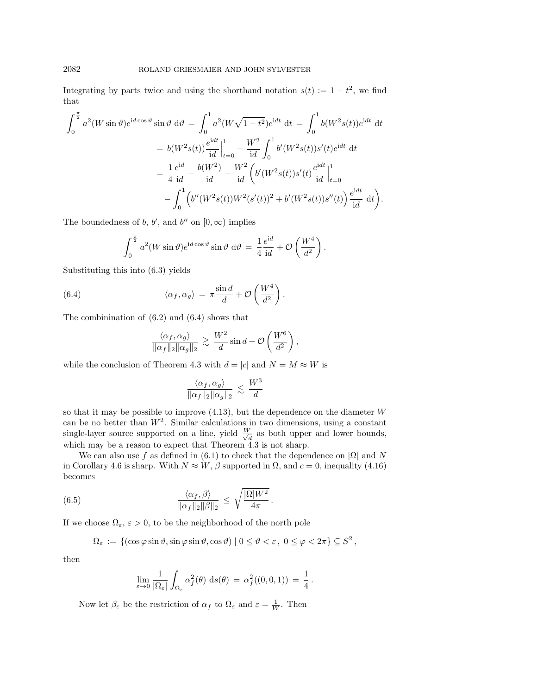Integrating by parts twice and using the shorthand notation  $s(t) := 1 - t^2$ , we find that

$$
\int_0^{\frac{\pi}{2}} a^2 (W \sin \vartheta) e^{id \cos \vartheta} \sin \vartheta d\vartheta = \int_0^1 a^2 (W \sqrt{1 - t^2}) e^{idt} dt = \int_0^1 b(W^2 s(t)) e^{idt} dt
$$
  
\n
$$
= b(W^2 s(t)) \frac{e^{idt}}{id} \Big|_{t=0}^1 - \frac{W^2}{id} \int_0^1 b'(W^2 s(t)) s'(t) e^{idt} dt
$$
  
\n
$$
= \frac{1}{4} \frac{e^{id}}{id} - \frac{b(W^2)}{id} - \frac{W^2}{id} \left( b'(W^2 s(t)) s'(t) \frac{e^{idt}}{id} \Big|_{t=0}^1 - \int_0^1 \left( b''(W^2 s(t)) W^2 (s'(t))^2 + b'(W^2 s(t)) s''(t) \right) \frac{e^{idt}}{id} dt \right).
$$

The boundedness of b, b', and b'' on  $[0, \infty)$  implies

$$
\int_0^{\frac{\pi}{2}} a^2 (W \sin \vartheta) e^{id \cos \vartheta} \sin \vartheta d\vartheta = \frac{1}{4} \frac{e^{id}}{id} + \mathcal{O}\left(\frac{W^4}{d^2}\right).
$$

Substituting this into [\(6.3\)](#page-15-1) yields

(6.4) 
$$
\langle \alpha_f, \alpha_g \rangle = \pi \frac{\sin d}{d} + \mathcal{O}\left(\frac{W^4}{d^2}\right).
$$

The combinination of [\(6.2\)](#page-15-2) and [\(6.4\)](#page-16-0) shows that

<span id="page-16-0"></span>
$$
\frac{\langle \alpha_f, \alpha_g \rangle}{\|\alpha_f\|_2 \|\alpha_g\|_2} \gtrsim \frac{W^2}{d} \sin d + \mathcal{O}\left(\frac{W^6}{d^2}\right),
$$

while the conclusion of Theorem [4.3](#page-10-1) with  $d = |c|$  and  $N = M \approx W$  is

$$
\frac{\langle \alpha_f, \alpha_g \rangle}{\|\alpha_f\|_2 \|\alpha_g\|_2} \, \lesssim \, \frac{W^3}{d}
$$

so that it may be possible to improve  $(4.13)$ , but the dependence on the diameter W can be no better than  $W^2$ . Similar calculations in two dimensions, using a constant single-layer source supported on a line, yield  $\frac{W}{\sqrt{2}}$  $\frac{d}{d}$  as both upper and lower bounds, which may be a reason to expect that Theorem [4.3](#page-10-1) is not sharp.

We can also use f as defined in [\(6.1\)](#page-15-3) to check that the dependence on  $|\Omega|$  and N in Corollary [4.6](#page-12-2) is sharp. With  $N \approx W$ ,  $\beta$  supported in  $\Omega$ , and  $c = 0$ , inequality [\(4.16\)](#page-12-1) becomes

(6.5) 
$$
\frac{\langle \alpha_f, \beta \rangle}{\|\alpha_f\|_2 \|\beta\|_2} \leq \sqrt{\frac{|\Omega| W^2}{4\pi}}.
$$

If we choose  $\Omega_{\varepsilon}$ ,  $\varepsilon > 0$ , to be the neighborhood of the north pole

$$
\Omega_{\varepsilon} \, := \, \{ (\cos \varphi \sin \vartheta, \sin \varphi \sin \vartheta, \cos \vartheta) \mid 0 \le \vartheta < \varepsilon \, , \, 0 \le \varphi < 2\pi \} \subseteq S^2 \, ,
$$

then

<span id="page-16-1"></span>
$$
\lim_{\varepsilon \to 0} \frac{1}{|\Omega_{\varepsilon}|} \int_{\Omega_{\varepsilon}} \alpha_f^2(\theta) \, ds(\theta) = \alpha_f^2((0,0,1)) = \frac{1}{4}.
$$

Now let  $\beta_{\varepsilon}$  be the restriction of  $\alpha_{f}$  to  $\Omega_{\varepsilon}$  and  $\varepsilon = \frac{1}{W}$ . Then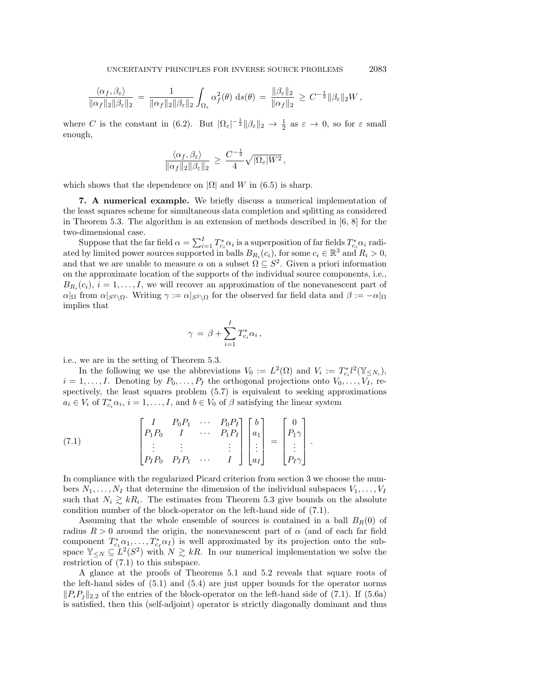$$
\frac{\langle \alpha_f, \beta_\varepsilon \rangle}{\|\alpha_f\|_2 \|\beta_\varepsilon\|_2} = \frac{1}{\|\alpha_f\|_2 \|\beta_\varepsilon\|_2} \int_{\Omega_\varepsilon} \alpha_f^2(\theta) \, \mathrm{d}s(\theta) = \frac{\|\beta_\varepsilon\|_2}{\|\alpha_f\|_2} \geq C^{-\frac{1}{2}} \|\beta_\varepsilon\|_2 W,
$$

where C is the constant in [\(6.2\)](#page-15-2). But  $|\Omega_{\varepsilon}|^{-\frac{1}{2}} ||\beta_{\varepsilon}||_2 \to \frac{1}{2}$  as  $\varepsilon \to 0$ , so for  $\varepsilon$  small enough,

$$
\frac{\langle \alpha_f, \beta_\varepsilon \rangle}{\|\alpha_f\|_2 \|\beta_\varepsilon\|_2} \, \geq \, \frac{C^{-\frac 12}}{4} \sqrt{|\Omega_\varepsilon| W^2} \, ,
$$

which shows that the dependence on  $|\Omega|$  and W in [\(6.5\)](#page-16-1) is sharp.

<span id="page-17-0"></span>7. A numerical example. We briefly discuss a numerical implementation of the least squares scheme for simultaneous data completion and splitting as considered in Theorem [5.3.](#page-14-2) The algorithm is an extension of methods described in [\[6,](#page-25-7) [8\]](#page-25-1) for the two-dimensional case.

Suppose that the far field  $\alpha = \sum_{i=1}^{I} T_{c_i}^* \alpha_i$  is a superposition of far fields  $T_{c_i}^* \alpha_i$  radiated by limited power sources supported in balls  $B_{R_i}(c_i)$ , for some  $c_i \in \mathbb{R}^3$  and  $R_i > 0$ , and that we are unable to measure  $\alpha$  on a subset  $\Omega \subseteq S^2$ . Given a priori information on the approximate location of the supports of the individual source components, i.e.,  $B_{R_i}(c_i), i = 1, \ldots, I$ , we will recover an approximation of the nonevanescent part of  $\alpha|_{\Omega}$  from  $\alpha|_{S^2\setminus\Omega}$ . Writing  $\gamma := \alpha|_{S^2\setminus\Omega}$  for the observed far field data and  $\beta := -\alpha|_{\Omega}$ implies that

$$
\gamma\,=\,\beta+\sum_{i=1}^I T^*_{c_i}\alpha_i\,,
$$

i.e., we are in the setting of Theorem [5.3.](#page-14-2)

In the following we use the abbreviations  $V_0 := L^2(\Omega)$  and  $V_i := T_{c_i}^* l^2(\mathbb{Y}_{\leq N_i}),$  $i = 1, \ldots, I$ . Denoting by  $P_0, \ldots, P_I$  the orthogonal projections onto  $V_0, \ldots, V_I$ , respectively, the least squares problem [\(5.7\)](#page-14-3) is equivalent to seeking approximations  $a_i \in V_i$  of  $T_{c_i}^* \alpha_i$ ,  $i = 1, ..., I$ , and  $b \in V_0$  of  $\beta$  satisfying the linear system

<span id="page-17-1"></span>(7.1) 
$$
\begin{bmatrix} I & P_0 P_1 & \cdots & P_0 P_I \\ P_1 P_0 & I & \cdots & P_1 P_I \\ \vdots & \vdots & & \vdots \\ P_I P_0 & P_I P_1 & \cdots & I \end{bmatrix} \begin{bmatrix} b \\ a_1 \\ \vdots \\ a_I \end{bmatrix} = \begin{bmatrix} 0 \\ P_1 \gamma \\ \vdots \\ P_I \gamma \end{bmatrix}.
$$

In compliance with the regularized Picard criterion from section [3](#page-5-0) we choose the numbers  $N_1, \ldots, N_I$  that determine the dimension of the individual subspaces  $V_1, \ldots, V_I$ such that  $N_i \gtrsim kR_i$ . The estimates from Theorem [5.3](#page-14-2) give bounds on the absolute condition number of the block-operator on the left-hand side of [\(7.1\)](#page-17-1).

Assuming that the whole ensemble of sources is contained in a ball  $B_R(0)$  of radius  $R > 0$  around the origin, the nonevanescent part of  $\alpha$  (and of each far field component  $T_{c_1}^* \alpha_1, \ldots, T_{c_I}^* \alpha_I)$  is well approximated by its projection onto the subspace  $\mathbb{Y}_{\leq N} \subseteq L^2(S^2)$  with  $N \geq kR$ . In our numerical implementation we solve the restriction of [\(7.1\)](#page-17-1) to this subspace.

A glance at the proofs of Theorems [5.1](#page-13-5) and [5.2](#page-13-4) reveals that square roots of the left-hand sides of [\(5.1\)](#page-13-3) and [\(5.4\)](#page-14-0) are just upper bounds for the operator norms  $||P_iP_j||_{2,2}$  of the entries of the block-operator on the left-hand side of [\(7.1\)](#page-17-1). If [\(5.6a\)](#page-14-4) is satisfied, then this (self-adjoint) operator is strictly diagonally dominant and thus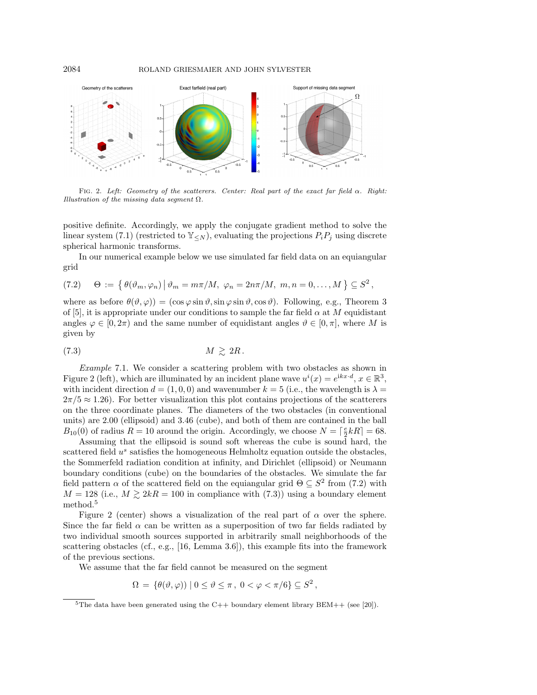<span id="page-18-0"></span>

FIG. 2. Left: Geometry of the scatterers. Center: Real part of the exact far field  $\alpha$ . Right: Illustration of the missing data segment  $\Omega$ .

positive definite. Accordingly, we apply the conjugate gradient method to solve the linear system [\(7.1\)](#page-17-1) (restricted to  $\mathbb{Y}_{\leq N}$ ), evaluating the projections  $P_iP_j$  using discrete spherical harmonic transforms.

In our numerical example below we use simulated far field data on an equiangular grid

<span id="page-18-1"></span>
$$
(7.2) \quad \Theta := \left\{ \left. \theta(\vartheta_m, \varphi_n) \right| \vartheta_m = m\pi/M, \ \varphi_n = 2n\pi/M, \ m, n = 0, \dots, M \right\} \subseteq S^2,
$$

where as before  $\theta(\vartheta,\varphi) = (\cos \varphi \sin \vartheta, \sin \varphi \sin \vartheta, \cos \vartheta)$ . Following, e.g., Theorem 3 of [\[5\]](#page-25-9), it is appropriate under our conditions to sample the far field  $\alpha$  at M equidistant angles  $\varphi \in [0, 2\pi)$  and the same number of equidistant angles  $\vartheta \in [0, \pi]$ , where M is given by

<span id="page-18-2"></span>
$$
(7.3) \t\t\t\t M \gtrsim 2R.
$$

Example 7.1. We consider a scattering problem with two obstacles as shown in Figure [2](#page-18-0) (left), which are illuminated by an incident plane wave  $u^{i}(x) = e^{ikx \cdot d}, x \in \mathbb{R}^{3}$ , with incident direction  $d = (1, 0, 0)$  and wavenumber  $k = 5$  (i.e., the wavelength is  $\lambda =$  $2\pi/5 \approx 1.26$ ). For better visualization this plot contains projections of the scatterers on the three coordinate planes. The diameters of the two obstacles (in conventional units) are 2.00 (ellipsoid) and 3.46 (cube), and both of them are contained in the ball  $B_{10}(0)$  of radius  $R = 10$  around the origin. Accordingly, we choose  $N = \lceil \frac{e}{2}kR \rceil = 68$ .

Assuming that the ellipsoid is sound soft whereas the cube is sound hard, the scattered field  $u^s$  satisfies the homogeneous Helmholtz equation outside the obstacles, the Sommerfeld radiation condition at infinity, and Dirichlet (ellipsoid) or Neumann boundary conditions (cube) on the boundaries of the obstacles. We simulate the far field pattern  $\alpha$  of the scattered field on the equiangular grid  $\Theta \subseteq S^2$  from [\(7.2\)](#page-18-1) with  $M = 128$  (i.e.,  $M \gtrsim 2kR = 100$  in compliance with [\(7.3\)](#page-18-2)) using a boundary element method.<sup>[5](#page-18-3)</sup>

Figure [2](#page-18-0) (center) shows a visualization of the real part of  $\alpha$  over the sphere. Since the far field  $\alpha$  can be written as a superposition of two far fields radiated by two individual smooth sources supported in arbitrarily small neighborhoods of the scattering obstacles (cf., e.g.,  $[16, \text{Lemma } 3.6]$ ), this example fits into the framework of the previous sections.

We assume that the far field cannot be measured on the segment

$$
\Omega = \{ \theta(\vartheta,\varphi)) \mid 0 \le \vartheta \le \pi, \ 0 < \varphi < \pi/6 \} \subseteq S^2,
$$

<span id="page-18-3"></span><sup>&</sup>lt;sup>5</sup>The data have been generated using the C++ boundary element library BEM++ (see [\[20\]](#page-26-8)).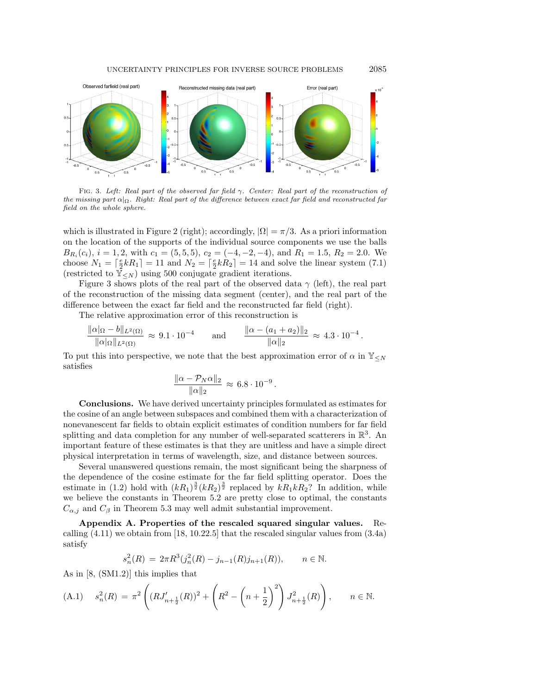<span id="page-19-1"></span>

FIG. 3. Left: Real part of the observed far field  $\gamma$ . Center: Real part of the reconstruction of the missing part  $\alpha|_{\Omega}$ . Right: Real part of the difference between exact far field and reconstructed far field on the whole sphere.

which is illustrated in Figure [2](#page-18-0) (right); accordingly,  $|\Omega| = \pi/3$ . As a priori information on the location of the supports of the individual source components we use the balls  $B_{R_i}(c_i)$ ,  $i = 1, 2$ , with  $c_1 = (5, 5, 5)$ ,  $c_2 = (-4, -2, -4)$ , and  $R_1 = 1.5$ ,  $R_2 = 2.0$ . We choose  $N_1 = \lceil \frac{e}{2}kR_1 \rceil = 11$  and  $N_2 = \lceil \frac{e}{2}kR_2 \rceil = 14$  and solve the linear system [\(7.1\)](#page-17-1) (restricted to  $\mathbb{Y}_{\leq N}$ ) using 500 conjugate gradient iterations.

Figure [3](#page-19-1) shows plots of the real part of the observed data  $\gamma$  (left), the real part of the reconstruction of the missing data segment (center), and the real part of the difference between the exact far field and the reconstructed far field (right).

The relative approximation error of this reconstruction is

$$
\frac{\|\alpha\|_{\Omega} - b\|_{L^2(\Omega)}}{\|\alpha\|_{L^2(\Omega)}} \approx 9.1 \cdot 10^{-4} \quad \text{and} \quad \frac{\|\alpha - (a_1 + a_2)\|_2}{\|\alpha\|_2} \approx 4.3 \cdot 10^{-4}.
$$

To put this into perspective, we note that the best approximation error of  $\alpha$  in  $\mathbb{Y}_{\leq N}$ satisfies

$$
\frac{\|\alpha - \mathcal{P}_N\alpha\|_2}{\|\alpha\|_2} \approx 6.8 \cdot 10^{-9}.
$$

Conclusions. We have derived uncertainty principles formulated as estimates for the cosine of an angle between subspaces and combined them with a characterization of nonevanescent far fields to obtain explicit estimates of condition numbers for far field splitting and data completion for any number of well-separated scatterers in  $\mathbb{R}^3$ . An important feature of these estimates is that they are unitless and have a simple direct physical interpretation in terms of wavelength, size, and distance between sources.

Several unanswered questions remain, the most significant being the sharpness of the dependence of the cosine estimate for the far field splitting operator. Does the estimate in [\(1.2\)](#page-2-2) hold with  $(kR_1)^{\frac{3}{2}}(kR_2)^{\frac{3}{2}}$  replaced by  $kR_1kR_2$ ? In addition, while we believe the constants in Theorem [5.2](#page-13-4) are pretty close to optimal, the constants  $C_{\alpha,i}$  and  $C_{\beta}$  in Theorem [5.3](#page-14-2) may well admit substantial improvement.

<span id="page-19-0"></span>Appendix A. Properties of the rescaled squared singular values. Recalling [\(4.11\)](#page-10-2) we obtain from [\[18,](#page-26-7) 10.22.5] that the rescaled singular values from [\(3.4a\)](#page-5-5) satisfy

$$
s_n^2(R) = 2\pi R^3(j_n^2(R) - j_{n-1}(R)j_{n+1}(R)), \qquad n \in \mathbb{N}.
$$

As in [\[8,](#page-25-1) (SM1.2)] this implies that

<span id="page-19-2"></span>(A.1) 
$$
s_n^2(R) = \pi^2 \left( (R J'_{n + \frac{1}{2}}(R))^2 + \left( R^2 - \left( n + \frac{1}{2} \right)^2 \right) J_{n + \frac{1}{2}}^2(R) \right), \quad n \in \mathbb{N}.
$$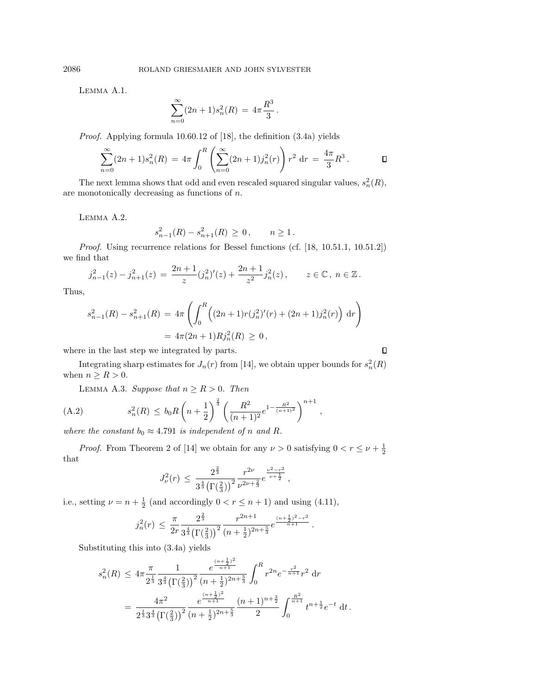Lemma A.1.

$$
\sum_{n=0}^{\infty} (2n+1)s_n^2(R) = 4\pi \frac{R^3}{3}.
$$

Proof. Applying formula 10.60.12 of [\[18\]](#page-26-7), the definition [\(3.4a\)](#page-5-5) yields

$$
\sum_{n=0}^{\infty} (2n+1)s_n^2(R) = 4\pi \int_0^R \left( \sum_{n=0}^{\infty} (2n+1)j_n^2(r) \right) r^2 dr = \frac{4\pi}{3} R^3.
$$

The next lemma shows that odd and even rescaled squared singular values,  $s_n^2(R)$ , are monotonically decreasing as functions of n.

Lemma A.2.

$$
s_{n-1}^2(R) - s_{n+1}^2(R) \, \geq \, 0 \, , \qquad n \geq 1 \, .
$$

Proof. Using recurrence relations for Bessel functions (cf. [\[18,](#page-26-7) 10.51.1, 10.51.2]) we find that

$$
j_{n-1}^{2}(z) - j_{n+1}^{2}(z) = \frac{2n+1}{z} (j_{n}^{2})'(z) + \frac{2n+1}{z^{2}} j_{n}^{2}(z), \qquad z \in \mathbb{C}, n \in \mathbb{Z}.
$$

Thus,

$$
s_{n-1}^{2}(R) - s_{n+1}^{2}(R) = 4\pi \left( \int_{0}^{R} \left( (2n+1)r(j_{n}^{2})'(r) + (2n+1)j_{n}^{2}(r) \right) dr \right)
$$
  
=  $4\pi (2n+1)Rj_{n}^{2}(R) \ge 0$ ,

 $\Box$ 

where in the last step we integrated by parts.

Integrating sharp estimates for  $J_n(r)$  from [\[14\]](#page-26-9), we obtain upper bounds for  $s_n^2(R)$ when  $n \geq R > 0$ .

<span id="page-20-0"></span>LEMMA A.3. Suppose that  $n \ge R > 0$ . Then

(A.2) 
$$
s_n^2(R) \leq b_0 R \left( n + \frac{1}{2} \right)^{\frac{2}{3}} \left( \frac{R^2}{(n+1)^2} e^{1 - \frac{R^2}{(n+1)^2}} \right)^{n+1},
$$

where the constant  $b_0 \approx 4.791$  is independent of n and R.

*Proof.* From Theorem 2 of [\[14\]](#page-26-9) we obtain for any  $\nu > 0$  satisfying  $0 < r \leq \nu + \frac{1}{2}$ that

$$
J_{\nu}^{2}(r) \leq \frac{2^{\frac{2}{3}}}{3^{\frac{4}{3}}\left(\Gamma(\frac{2}{3})\right)^{2}} \frac{r^{2\nu}}{\nu^{2\nu+\frac{2}{3}}} e^{\frac{\nu^{2}-r^{2}}{\nu+\frac{1}{2}}},
$$

i.e., setting  $\nu = n + \frac{1}{2}$  (and accordingly  $0 < r \le n + 1$ ) and using [\(4.11\)](#page-10-2),

$$
j_n^2(r) \leq \frac{\pi}{2r} \frac{2^{\frac{2}{3}}}{3^{\frac{4}{3}} \left(\Gamma(\frac{2}{3})\right)^2} \frac{r^{2n+1}}{(n+\frac{1}{2})^{2n+\frac{5}{3}}} e^{\frac{(n+\frac{1}{2})^2-r^2}{n+1}}.
$$

Substituting this into [\(3.4a\)](#page-5-5) yields

$$
s_n^2(R) \le 4\pi \frac{\pi}{2^{\frac{1}{3}}} \frac{1}{3^{\frac{4}{3}} (\Gamma(\frac{2}{3}))^2} \frac{e^{\frac{(n+\frac{1}{2})^2}{n+1}}}{(n+\frac{1}{2})^{2n+\frac{5}{3}}} \int_0^R r^{2n} e^{-\frac{r^2}{n+1}} r^2 dr
$$
  
= 
$$
\frac{4\pi^2}{2^{\frac{1}{3}} 3^{\frac{4}{3}} (\Gamma(\frac{2}{3}))^2} \frac{e^{\frac{(n+\frac{1}{2})^2}{n+1}}}{(n+\frac{1}{2})^{2n+\frac{5}{3}}} \frac{(n+1)^{n+\frac{3}{2}}}{2} \int_0^{\frac{R^2}{n+1}} t^{n+\frac{1}{2}} e^{-t} dt.
$$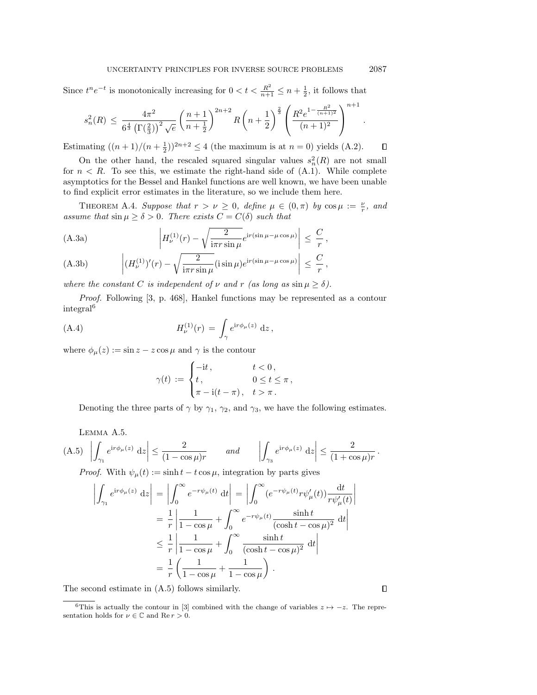Since  $t^n e^{-t}$  is monotonically increasing for  $0 < t < \frac{R^2}{n+1} \le n + \frac{1}{2}$ , it follows that

$$
s_n^2(R) \le \frac{4\pi^2}{6^{\frac{4}{3}} \left(\Gamma(\frac{2}{3})\right)^2 \sqrt{e}} \left(\frac{n+1}{n+\frac{1}{2}}\right)^{2n+2} R\left(n+\frac{1}{2}\right)^{\frac{2}{3}} \left(\frac{R^2 e^{1-\frac{R^2}{(n+1)^2}}}{(n+1)^2}\right)^{n+1}
$$

Estimating  $((n+1)/(n+\frac{1}{2}))^{2n+2} \le 4$  (the maximum is at  $n = 0$ ) yields [\(A.2\)](#page-20-0).  $\Box$ 

On the other hand, the rescaled squared singular values  $s_n^2(R)$  are not small for  $n \leq R$ . To see this, we estimate the right-hand side of  $(A.1)$ . While complete asymptotics for the Bessel and Hankel functions are well known, we have been unable to find explicit error estimates in the literature, so we include them here.

<span id="page-21-2"></span>THEOREM A.4. Suppose that  $r > \nu \geq 0$ , define  $\mu \in (0, \pi)$  by  $\cos \mu := \frac{\nu}{r}$ , and assume that  $\sin \mu \ge \delta > 0$ . There exists  $C = C(\delta)$  such that

(A.3a) 
$$
\left| H_{\nu}^{(1)}(r) - \sqrt{\frac{2}{\mathrm{i}\pi r \sin \mu}} e^{ir(\sin \mu - \mu \cos \mu)} \right| \leq \frac{C}{r},
$$

<span id="page-21-3"></span>(A.3b) 
$$
\left| (H_{\nu}^{(1)})'(r) - \sqrt{\frac{2}{\mathrm{i}\pi r \sin \mu}} (\mathrm{i}\sin \mu) e^{\mathrm{i}r(\sin \mu - \mu \cos \mu)} \right| \leq \frac{C}{r},
$$

where the constant C is independent of  $\nu$  and  $r$  (as long as  $\sin \mu \ge \delta$ ).

Proof. Following [\[3,](#page-25-10) p. 468], Hankel functions may be represented as a contour integral[6](#page-21-0)

(A.4) H(1) ν (r) = <sup>Z</sup> γ e <sup>i</sup>rφµ(z) dz ,

where  $\phi_{\mu}(z) := \sin z - z \cos \mu$  and  $\gamma$  is the contour

<span id="page-21-4"></span>
$$
\gamma(t) := \begin{cases}\n-it, & t < 0, \\
t, & 0 \le t \le \pi, \\
\pi - i(t - \pi), & t > \pi.\n\end{cases}
$$

Denoting the three parts of  $\gamma$  by  $\gamma_1$ ,  $\gamma_2$ , and  $\gamma_3$ , we have the following estimates.

Lemma A.5.

<span id="page-21-1"></span>
$$
(A.5) \left| \int_{\gamma_1} e^{i r \phi_\mu(z)} dz \right| \leq \frac{2}{(1 - \cos \mu)r} \qquad \text{and} \qquad \left| \int_{\gamma_3} e^{i r \phi_\mu(z)} dz \right| \leq \frac{2}{(1 + \cos \mu)r}.
$$

*Proof.* With  $\psi_{\mu}(t) := \sinh t - t \cos \mu$ , integration by parts gives

$$
\left| \int_{\gamma_1} e^{i r \phi_\mu(z)} dz \right| = \left| \int_0^\infty e^{-r \psi_\mu(t)} dt \right| = \left| \int_0^\infty (e^{-r \psi_\mu(t)} r \psi'_\mu(t)) \frac{dt}{r \psi'_\mu(t)} \right|
$$
  
\n
$$
= \frac{1}{r} \left| \frac{1}{1 - \cos \mu} + \int_0^\infty e^{-r \psi_\mu(t)} \frac{\sinh t}{(\cosh t - \cos \mu)^2} dt \right|
$$
  
\n
$$
\leq \frac{1}{r} \left| \frac{1}{1 - \cos \mu} + \int_0^\infty \frac{\sinh t}{(\cosh t - \cos \mu)^2} dt \right|
$$
  
\n
$$
= \frac{1}{r} \left( \frac{1}{1 - \cos \mu} + \frac{1}{1 - \cos \mu} \right).
$$

The second estimate in [\(A.5\)](#page-21-1) follows similarly.

 $\Box$ 

.

<span id="page-21-0"></span><sup>&</sup>lt;sup>6</sup>This is actually the contour in [\[3\]](#page-25-10) combined with the change of variables  $z \mapsto -z$ . The representation holds for  $\nu \in \mathbb{C}$  and  $\text{Re } r > 0$ .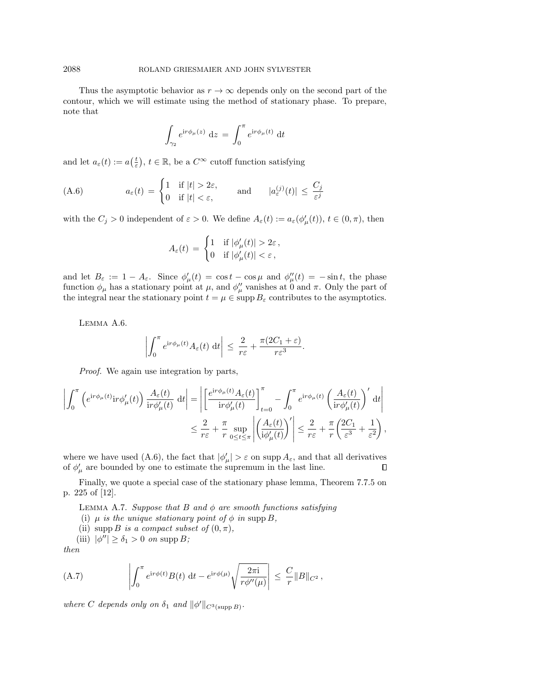Thus the asymptotic behavior as  $r \to \infty$  depends only on the second part of the contour, which we will estimate using the method of stationary phase. To prepare, note that

$$
\int_{\gamma_2} e^{\mathrm{i}r\phi_\mu(z)} \, \mathrm{d}z = \int_0^\pi e^{\mathrm{i}r\phi_\mu(t)} \, \mathrm{d}t
$$

and let  $a_{\varepsilon}(t) := a(\frac{t}{\varepsilon}), t \in \mathbb{R}$ , be a  $C^{\infty}$  cutoff function satisfying

<span id="page-22-0"></span>(A.6) 
$$
a_{\varepsilon}(t) = \begin{cases} 1 & \text{if } |t| > 2\varepsilon, \\ 0 & \text{if } |t| < \varepsilon, \end{cases} \text{ and } |a_{\varepsilon}^{(j)}(t)| \leq \frac{C_j}{\varepsilon^j}
$$

with the  $C_j > 0$  independent of  $\varepsilon > 0$ . We define  $A_{\varepsilon}(t) := a_{\varepsilon}(\phi_{\mu}'(t)), t \in (0, \pi)$ , then

$$
A_{\varepsilon}(t) = \begin{cases} 1 & \text{if } |\phi_{\mu}'(t)| > 2\varepsilon, \\ 0 & \text{if } |\phi_{\mu}'(t)| < \varepsilon, \end{cases}
$$

and let  $B_{\varepsilon} := 1 - A_{\varepsilon}$ . Since  $\phi'_{\mu}(t) = \cos t - \cos \mu$  and  $\phi''_{\mu}(t) = -\sin t$ , the phase function  $\phi_{\mu}$  has a stationary point at  $\mu$ , and  $\phi_{\mu}''$  vanishes at 0 and  $\pi$ . Only the part of the integral near the stationary point  $t = \mu \in \text{supp } B_{\varepsilon}$  contributes to the asymptotics.

Lemma A.6.

$$
\left| \int_0^{\pi} e^{i r \phi_{\mu}(t)} A_{\varepsilon}(t) dt \right| \leq \frac{2}{r \varepsilon} + \frac{\pi (2C_1 + \varepsilon)}{r \varepsilon^3}.
$$

Proof. We again use integration by parts,

$$
\left| \int_0^{\pi} \left( e^{i r \phi_{\mu}(t)} i r \phi'_{\mu}(t) \right) \frac{A_{\varepsilon}(t)}{i r \phi'_{\mu}(t)} dt \right| = \left| \left[ \frac{e^{i r \phi_{\mu}(t)} A_{\varepsilon}(t)}{i r \phi'_{\mu}(t)} \right]_{t=0}^{\pi} - \int_0^{\pi} e^{i r \phi_{\mu}(t)} \left( \frac{A_{\varepsilon}(t)}{i r \phi'_{\mu}(t)} \right)' dt \right|
$$
  

$$
\leq \frac{2}{r \varepsilon} + \frac{\pi}{r} \sup_{0 \leq t \leq \pi} \left| \left( \frac{A_{\varepsilon}(t)}{i \phi'_{\mu}(t)} \right)' \right| \leq \frac{2}{r \varepsilon} + \frac{\pi}{r} \left( \frac{2C_1}{\varepsilon^3} + \frac{1}{\varepsilon^2} \right),
$$

where we have used [\(A.6\)](#page-22-0), the fact that  $|\phi'_{\mu}| > \varepsilon$  on supp  $A_{\varepsilon}$ , and that all derivatives of  $\phi'_{\mu}$  are bounded by one to estimate the supremum in the last line.  $\Box$ 

Finally, we quote a special case of the stationary phase lemma, Theorem 7.7.5 on p. 225 of [\[12\]](#page-26-10).

<span id="page-22-1"></span>LEMMA A.7. Suppose that B and  $\phi$  are smooth functions satisfying

- (i)  $\mu$  is the unique stationary point of  $\phi$  in supp B,
- (ii) supp B is a compact subset of  $(0, \pi)$ ,
- <span id="page-22-2"></span>(iii)  $|\phi''| \geq \delta_1 > 0$  on supp B;

then

(A.7) 
$$
\left| \int_0^{\pi} e^{i r \phi(t)} B(t) dt - e^{i r \phi(\mu)} \sqrt{\frac{2 \pi i}{r \phi''(\mu)}} \right| \leq \frac{C}{r} \|B\|_{C^2},
$$

where C depends only on  $\delta_1$  and  $\|\phi'\|_{C^3(\text{supp }B)}$ .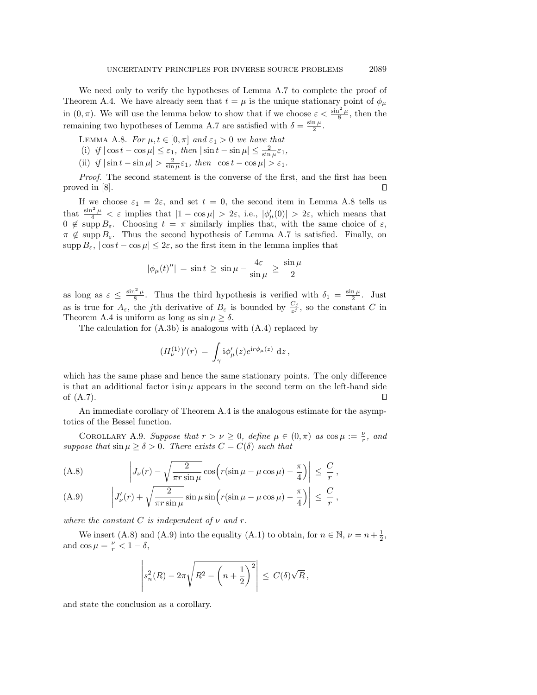We need only to verify the hypotheses of Lemma [A.7](#page-22-1) to complete the proof of Theorem [A.4.](#page-21-2) We have already seen that  $t = \mu$  is the unique stationary point of  $\phi_{\mu}$ in  $(0, \pi)$ . We will use the lemma below to show that if we choose  $\epsilon < \frac{\sin^2 \mu}{8}$ , then the remaining two hypotheses of Lemma [A.7](#page-22-1) are satisfied with  $\delta = \frac{\sin \mu}{2}$ .

- <span id="page-23-1"></span>LEMMA A.8. For  $\mu, t \in [0, \pi]$  and  $\varepsilon_1 > 0$  we have that
- (i) if  $|\cos t \cos \mu| \leq \varepsilon_1$ , then  $|\sin t \sin \mu| \leq \frac{2}{\sin \mu} \varepsilon_1$ ,
- (ii) if  $|\sin t \sin \mu| > \frac{2}{\sin \mu} \varepsilon_1$ , then  $|\cos t \cos \mu| > \varepsilon_1$ .

Proof. The second statement is the converse of the first, and the first has been proved in [\[8\]](#page-25-1). П

If we choose  $\varepsilon_1 = 2\varepsilon$ , and set  $t = 0$ , the second item in Lemma [A.8](#page-23-1) tells us that  $\frac{\sin^2 \mu}{4} < \varepsilon$  implies that  $|1 - \cos \mu| > 2\varepsilon$ , i.e.,  $|\phi'_\mu(0)| > 2\varepsilon$ , which means that  $0 \notin \text{supp } B_{\varepsilon}$ . Choosing  $t = \pi$  similarly implies that, with the same choice of  $\varepsilon$ ,  $\pi \notin \text{supp } B_{\varepsilon}$ . Thus the second hypothesis of Lemma [A.7](#page-22-1) is satisfied. Finally, on supp  $B_{\varepsilon}$ ,  $|\cos t - \cos \mu| \leq 2\varepsilon$ , so the first item in the lemma implies that

$$
|\phi_{\mu}(t)''| = \sin t \ge \sin \mu - \frac{4\varepsilon}{\sin \mu} \ge \frac{\sin \mu}{2}
$$

as long as  $\varepsilon \leq \frac{\sin^2 \mu}{8}$ . Thus the third hypothesis is verified with  $\delta_1 = \frac{\sin \mu}{2}$ . Just as is true for  $A_{\varepsilon}$ , the *j*th derivative of  $B_{\varepsilon}$  is bounded by  $\frac{C_j}{\varepsilon^j}$ , so the constant C in Theorem [A.4](#page-21-2) is uniform as long as  $\sin \mu \geq \delta$ .

The calculation for [\(A.3b\)](#page-21-3) is analogous with [\(A.4\)](#page-21-4) replaced by

$$
(H_{\nu}^{(1)})'(r) \,=\, \int_{\gamma} \mathrm{i} \phi_{\mu}'(z) e^{\mathrm{i} r \phi_{\mu}(z)} \,\,\mathrm{d} z\,,
$$

which has the same phase and hence the same stationary points. The only difference is that an additional factor is in  $\mu$  appears in the second term on the left-hand side of [\(A.7\)](#page-22-2). П

An immediate corollary of Theorem [A.4](#page-21-2) is the analogous estimate for the asymptotics of the Bessel function.

COROLLARY A.9. Suppose that  $r > \nu \geq 0$ , define  $\mu \in (0, \pi)$  as  $\cos \mu := \frac{\nu}{r}$ , and suppose that  $\sin \mu \ge \delta > 0$ . There exists  $C = C(\delta)$  such that

<span id="page-23-2"></span>(A.8) 
$$
\left| J_{\nu}(r) - \sqrt{\frac{2}{\pi r \sin \mu}} \cos \left( r(\sin \mu - \mu \cos \mu) - \frac{\pi}{4} \right) \right| \leq \frac{C}{r},
$$

<span id="page-23-3"></span>(A.9) 
$$
\left| J'_{\nu}(r) + \sqrt{\frac{2}{\pi r \sin \mu}} \sin \mu \sin \left( r (\sin \mu - \mu \cos \mu) - \frac{\pi}{4} \right) \right| \leq \frac{C}{r},
$$

where the constant C is independent of  $\nu$  and  $r$ .

We insert [\(A.8\)](#page-23-2) and [\(A.9\)](#page-23-3) into the equality [\(A.1\)](#page-19-2) to obtain, for  $n \in \mathbb{N}$ ,  $\nu = n + \frac{1}{2}$ , and  $\cos \mu = \frac{\nu}{r} < 1 - \delta$ ,

$$
\left| s_n^2(R) - 2\pi \sqrt{R^2 - \left(n + \frac{1}{2}\right)^2} \right| \le C(\delta) \sqrt{R},
$$

<span id="page-23-0"></span>and state the conclusion as a corollary.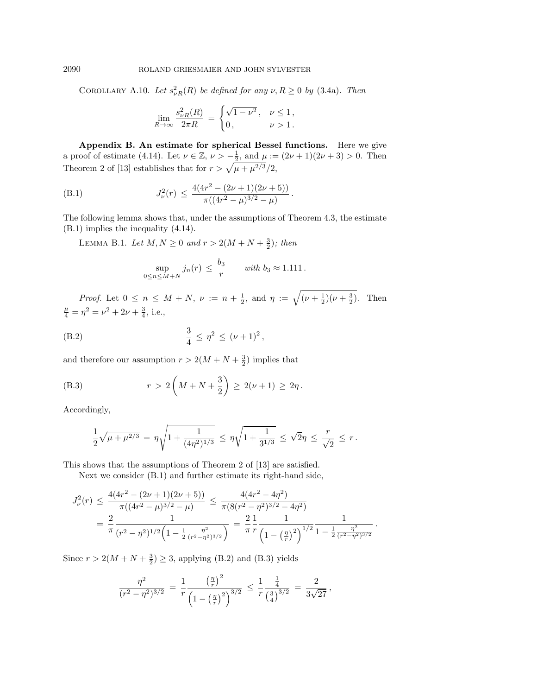COROLLARY A.10. Let  $s_{\nu R}^2(R)$  be defined for any  $\nu, R \geq 0$  by [\(3.4a\)](#page-5-5). Then

$$
\lim_{R \to \infty} \frac{s_{\nu R}^2(R)}{2\pi R} = \begin{cases} \sqrt{1-\nu^2} \,, & \nu \leq 1 \,, \\ 0 \,, & \nu > 1 \,. \end{cases}
$$

<span id="page-24-0"></span>Appendix B. An estimate for spherical Bessel functions. Here we give a proof of estimate [\(4.14\)](#page-11-2). Let  $\nu \in \mathbb{Z}$ ,  $\nu > -\frac{1}{2}$ , and  $\mu := (2\nu + 1)(2\nu + 3) > 0$ . Then Theorem 2 of [\[13\]](#page-26-6) establishes that for  $r > \sqrt{\mu + \mu^{2/3}}/2$ ,

(B.1) 
$$
J_{\nu}^{2}(r) \leq \frac{4(4r^{2} - (2\nu + 1)(2\nu + 5))}{\pi((4r^{2} - \mu)^{3/2} - \mu)}.
$$

The following lemma shows that, under the assumptions of Theorem [4.3,](#page-10-1) the estimate [\(B.1\)](#page-24-1) implies the inequality [\(4.14\)](#page-11-2).

LEMMA B.1. Let  $M, N \ge 0$  and  $r > 2(M + N + \frac{3}{2})$ ; then

<span id="page-24-2"></span><span id="page-24-1"></span>
$$
\sup_{0 \le n \le M+N} j_n(r) \le \frac{b_3}{r} \quad \text{with } b_3 \approx 1.111.
$$

*Proof.* Let  $0 \le n \le M + N$ ,  $\nu := n + \frac{1}{2}$ , and  $\eta := \sqrt{(\nu + \frac{1}{2})(\nu + \frac{3}{2})}$ . Then  $\frac{\mu}{4} = \eta^2 = \nu^2 + 2\nu + \frac{3}{4}$ , i.e.,

(B.2) 
$$
\frac{3}{4} \leq \eta^2 \leq (\nu+1)^2,
$$

and therefore our assumption  $r > 2(M + N + \frac{3}{2})$  implies that

(B.3) 
$$
r > 2\left(M+N+\frac{3}{2}\right) \ge 2(\nu+1) \ge 2\eta
$$
.

Accordingly,

<span id="page-24-3"></span>
$$
\frac{1}{2}\sqrt{\mu+\mu^{2/3}} = \eta\sqrt{1+\frac{1}{(4\eta^2)^{1/3}}} \leq \eta\sqrt{1+\frac{1}{3^{1/3}}} \leq \sqrt{2}\eta \leq \frac{r}{\sqrt{2}} \leq r.
$$

This shows that the assumptions of Theorem 2 of [\[13\]](#page-26-6) are satisfied.

Next we consider [\(B.1\)](#page-24-1) and further estimate its right-hand side,

$$
J_{\nu}^{2}(r) \leq \frac{4(4r^{2} - (2\nu + 1)(2\nu + 5))}{\pi((4r^{2} - \mu)^{3/2} - \mu)} \leq \frac{4(4r^{2} - 4\eta^{2})}{\pi(8(r^{2} - \eta^{2})^{3/2} - 4\eta^{2})}
$$
  
= 
$$
\frac{2}{\pi} \frac{1}{(r^{2} - \eta^{2})^{1/2} \left(1 - \frac{1}{2} \frac{\eta^{2}}{(r^{2} - \eta^{2})^{3/2}}\right)} = \frac{2}{\pi} \frac{1}{r} \frac{1}{\left(1 - \left(\frac{\eta}{r}\right)^{2}\right)^{1/2}} \frac{1}{1 - \frac{1}{2} \frac{\eta^{2}}{(r^{2} - \eta^{2})^{3/2}}}
$$

.

Since  $r > 2(M + N + \frac{3}{2}) \geq 3$ , applying [\(B.2\)](#page-24-2) and [\(B.3\)](#page-24-3) yields

$$
\frac{\eta^2}{(r^2 - \eta^2)^{3/2}} = \frac{1}{r} \frac{\left(\frac{\eta}{r}\right)^2}{\left(1 - \left(\frac{\eta}{r}\right)^2\right)^{3/2}} \le \frac{1}{r} \frac{\frac{1}{4}}{\left(\frac{3}{4}\right)^{3/2}} = \frac{2}{3\sqrt{27}},
$$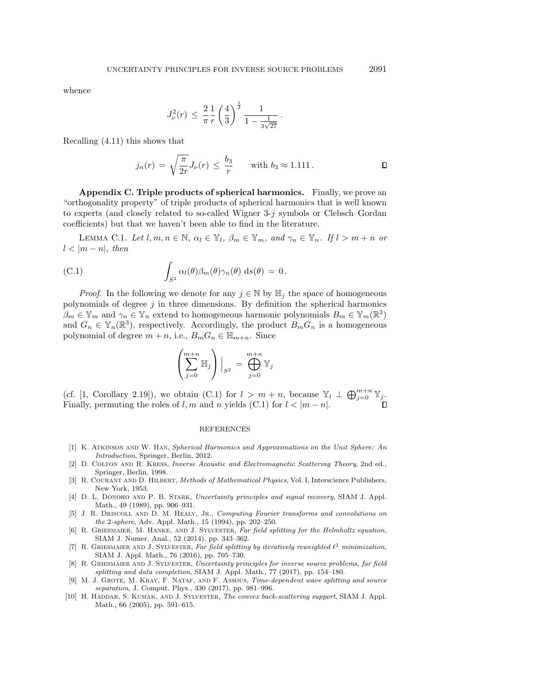whence

$$
J_{\nu}^{2}(r) \leq \frac{2}{\pi} \frac{1}{r} \left(\frac{4}{3}\right)^{\frac{1}{2}} \frac{1}{1 - \frac{1}{3\sqrt{27}}}.
$$

Recalling [\(4.11\)](#page-10-2) this shows that

$$
j_n(r) = \sqrt{\frac{\pi}{2r}} J_\nu(r) \le \frac{b_3}{r} \quad \text{with } b_3 \approx 1.111.
$$

Appendix C. Triple products of spherical harmonics. Finally, we prove an "orthogonality property" of triple products of spherical harmonics that is well known to experts (and closely related to so-called Wigner  $3-j$  symbols or Clebsch–Gordan coefficients) but that we haven't been able to find in the literature.

LEMMA C.1. Let  $l, m, n \in \mathbb{N}, \alpha_l \in \mathbb{Y}_l, \beta_m \in \mathbb{Y}_m, \text{ and } \gamma_n \in \mathbb{Y}_n$ . If  $l > m + n$  or  $l < |m - n|$ , then

(C.1) 
$$
\int_{S^2} \alpha_l(\theta) \beta_m(\theta) \gamma_n(\theta) ds(\theta) = 0.
$$

*Proof.* In the following we denote for any  $j \in \mathbb{N}$  by  $\mathbb{H}_j$  the space of homogeneous polynomials of degree  $j$  in three dimensions. By definition the spherical harmonics  $\beta_m \in \mathbb{Y}_m$  and  $\gamma_n \in \mathbb{Y}_n$  extend to homogeneous harmonic polynomials  $B_m \in \mathbb{Y}_m(\mathbb{R}^3)$ and  $G_n \in \mathbb{Y}_n(\mathbb{R}^3)$ , respectively. Accordingly, the product  $B_m G_n$  is a homogeneous polynomial of degree  $m + n$ , i.e.,  $B_m G_n \in \mathbb{H}_{m+n}$ . Since

<span id="page-25-6"></span>
$$
\left(\sum_{j=0}^{m+n} \mathbb{H}_j\right)\Big|_{S^2} = \bigoplus_{j=0}^{m+n} \mathbb{Y}_j
$$

(cf. [\[1,](#page-25-5) Corollary 2.19]), we obtain [\(C.1\)](#page-25-6) for  $l > m + n$ , because  $\mathbb{Y}_l \perp \bigoplus_{j=0}^{m+n} \mathbb{Y}_j$ . Finally, permuting the roles of  $l, m$  and n yields [\(C.1\)](#page-25-6) for  $l < |m - n|$ .

# REFERENCES

- <span id="page-25-5"></span>[1] K. Atkinson and W. Han, Spherical Harmonics and Approximations on the Unit Sphere: An Introduction, Springer, Berlin, 2012.
- <span id="page-25-4"></span>[2] D. COLTON AND R. KRESS, *Inverse Acoustic and Electromagnetic Scattering Theory*, 2nd ed., Springer, Berlin, 1998.
- <span id="page-25-10"></span>[3] R. COURANT AND D. HILBERT, Methods of Mathematical Physics, Vol. I, Interscience Publishers, New York, 1953.
- <span id="page-25-3"></span>[4] D. L. DONOHO AND P. B. STARK, Uncertainty principles and signal recovery, SIAM J. Appl. Math., 49 (1989), pp. 906–931.
- <span id="page-25-9"></span>[5] J. R. Driscoll and D. M. Healy, Jr., Computing Fourier transforms and convolutions on the 2-sphere, Adv. Appl. Math., 15 (1994), pp. 202–250.
- <span id="page-25-7"></span>[6] R. GRIESMAIER, M. HANKE, AND J. SYLVESTER, Far field splitting for the Helmholtz equation, SIAM J. Numer. Anal., 52 (2014), pp. 343–362.
- <span id="page-25-8"></span>[7] R. GRIESMAIER AND J. SYLVESTER, Far field splitting by iteratively reweighted  $\ell^1$  minimization, SIAM J. Appl. Math., 76 (2016), pp. 705–730.
- <span id="page-25-1"></span>[8] R. Griesmaier and J. Sylvester, Uncertainty principles for inverse source problems, far field splitting and data completion, SIAM J. Appl. Math., 77 (2017), pp. 154–180.
- <span id="page-25-2"></span>[9] M. J. GROTE, M. KRAY, F. NATAF, AND F. ASSOUS, *Time-dependent wave splitting and source* separation, J. Comput. Phys., 330 (2017), pp. 981–996.
- <span id="page-25-0"></span>[10] H. HADDAR, S. KUSIAK, AND J. SYLVESTER, The convex back-scattering support, SIAM J. Appl. Math., 66 (2005), pp. 591–615.